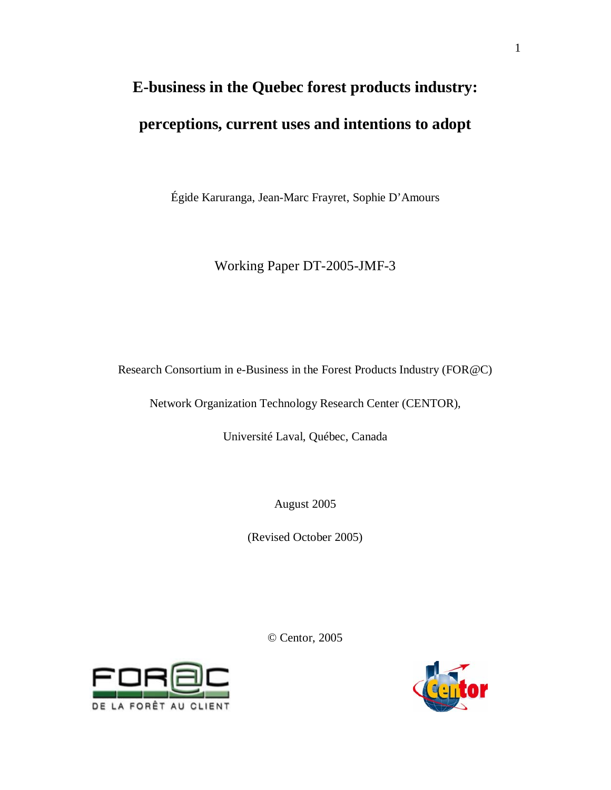# **E-business in the Quebec forest products industry: perceptions, current uses and intentions to adopt**

Égide Karuranga, Jean-Marc Frayret, Sophie D'Amours

Working Paper DT-2005-JMF-3

Research Consortium in e-Business in the Forest Products Industry (FOR@C)

Network Organization Technology Research Center (CENTOR),

Université Laval, Québec, Canada

August 2005

(Revised October 2005)

© Centor, 2005



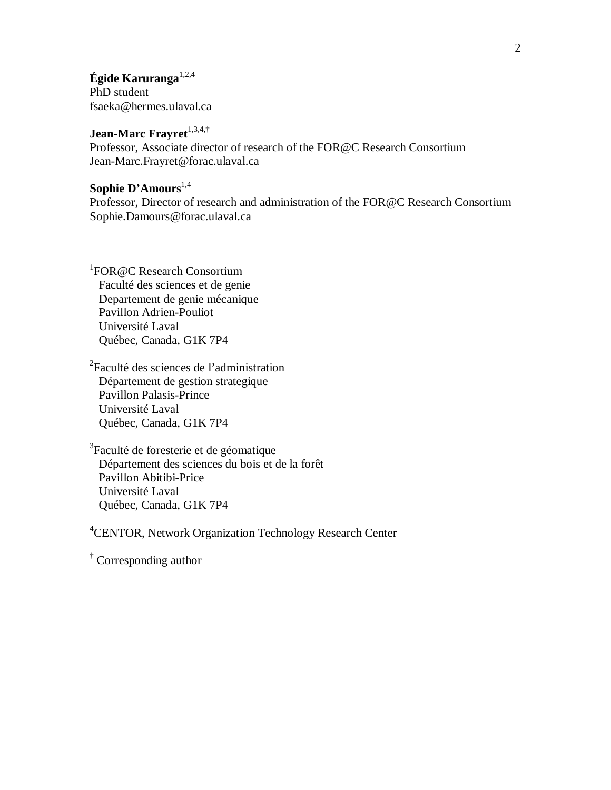**Égide Karuranga**1,2,4 PhD student fsaeka@hermes.ulaval.ca

# Jean-Marc Frayret<sup>1,3,4,†</sup>

Professor, Associate director of research of the FOR@C Research Consortium Jean-Marc.Frayret@forac.ulaval.ca

# **Sophie D'Amours**1,4

Professor, Director of research and administration of the FOR@C Research Consortium Sophie.Damours@forac.ulaval.ca

<sup>1</sup>FOR @C Research Consortium Faculté des sciences et de genie Departement de genie mécanique Pavillon Adrien-Pouliot Université Laval Québec, Canada, G1K 7P4

2 Faculté des sciences de l'administration Département de gestion strategique Pavillon Palasis-Prince Université Laval Québec, Canada, G1K 7P4

<sup>3</sup>Faculté de foresterie et de géomatique Département des sciences du bois et de la forêt Pavillon Abitibi-Price Université Laval Québec, Canada, G1K 7P4

<sup>4</sup>CENTOR, Network Organization Technology Research Center

† Corresponding author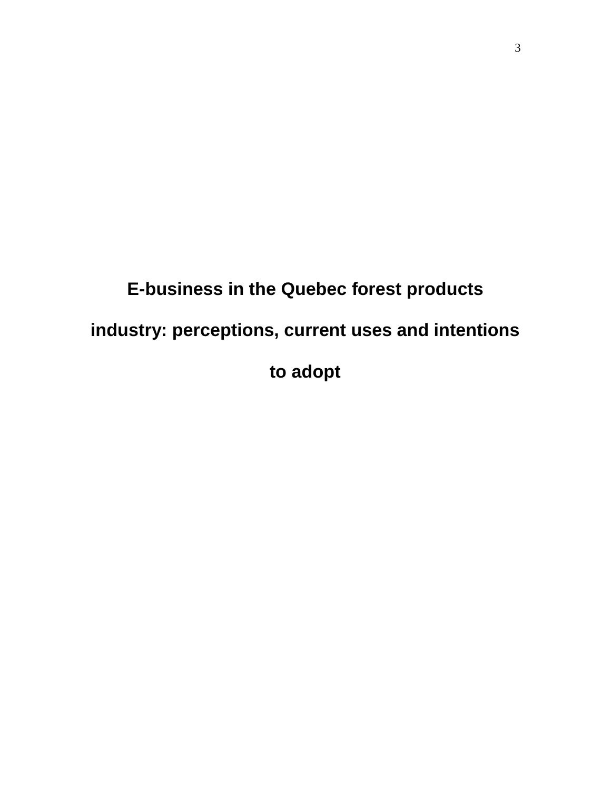# **E-business in the Quebec forest products industry: perceptions, current uses and intentions to adopt**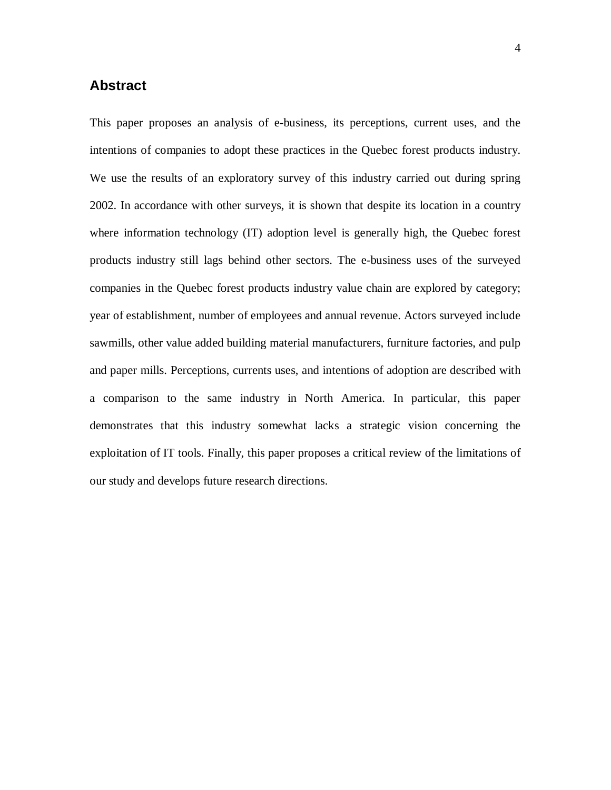# **Abstract**

This paper proposes an analysis of e-business, its perceptions, current uses, and the intentions of companies to adopt these practices in the Quebec forest products industry. We use the results of an exploratory survey of this industry carried out during spring 2002. In accordance with other surveys, it is shown that despite its location in a country where information technology (IT) adoption level is generally high, the Quebec forest products industry still lags behind other sectors. The e-business uses of the surveyed companies in the Quebec forest products industry value chain are explored by category; year of establishment, number of employees and annual revenue. Actors surveyed include sawmills, other value added building material manufacturers, furniture factories, and pulp and paper mills. Perceptions, currents uses, and intentions of adoption are described with a comparison to the same industry in North America. In particular, this paper demonstrates that this industry somewhat lacks a strategic vision concerning the exploitation of IT tools. Finally, this paper proposes a critical review of the limitations of our study and develops future research directions.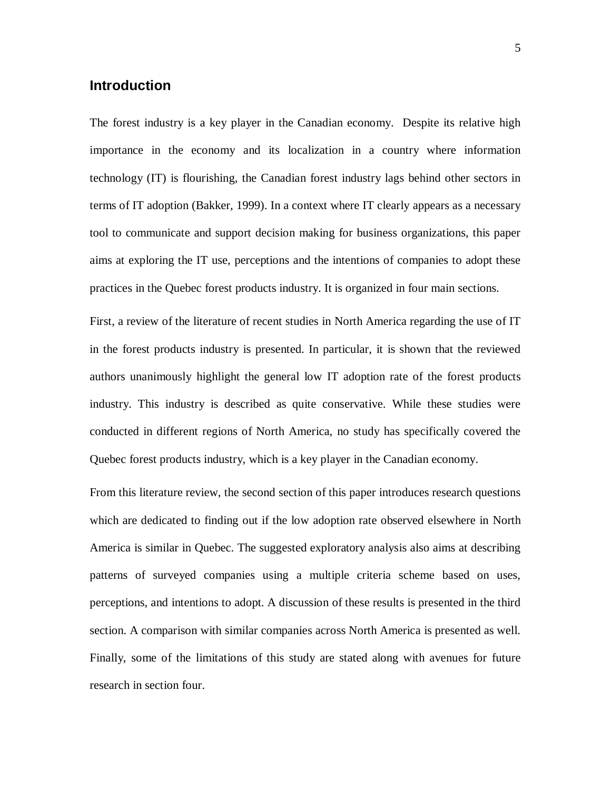## **Introduction**

The forest industry is a key player in the Canadian economy. Despite its relative high importance in the economy and its localization in a country where information technology (IT) is flourishing, the Canadian forest industry lags behind other sectors in terms of IT adoption (Bakker, 1999). In a context where IT clearly appears as a necessary tool to communicate and support decision making for business organizations, this paper aims at exploring the IT use, perceptions and the intentions of companies to adopt these practices in the Quebec forest products industry. It is organized in four main sections.

First, a review of the literature of recent studies in North America regarding the use of IT in the forest products industry is presented. In particular, it is shown that the reviewed authors unanimously highlight the general low IT adoption rate of the forest products industry. This industry is described as quite conservative. While these studies were conducted in different regions of North America, no study has specifically covered the Quebec forest products industry, which is a key player in the Canadian economy.

From this literature review, the second section of this paper introduces research questions which are dedicated to finding out if the low adoption rate observed elsewhere in North America is similar in Quebec. The suggested exploratory analysis also aims at describing patterns of surveyed companies using a multiple criteria scheme based on uses, perceptions, and intentions to adopt. A discussion of these results is presented in the third section. A comparison with similar companies across North America is presented as well. Finally, some of the limitations of this study are stated along with avenues for future research in section four.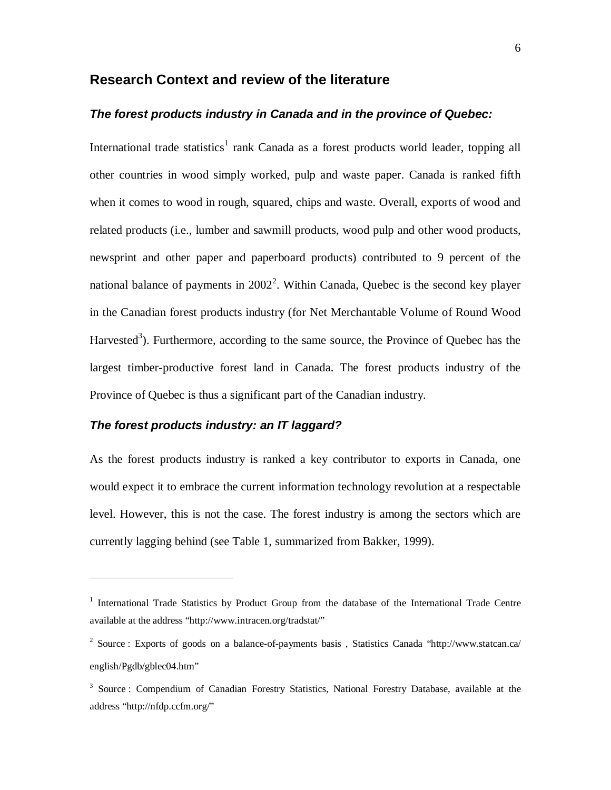#### **Research Context and review of the literature**

#### **The forest products industry in Canada and in the province of Quebec:**

International trade statistics<sup>1</sup> rank Canada as a forest products world leader, topping all other countries in wood simply worked, pulp and waste paper. Canada is ranked fifth when it comes to wood in rough, squared, chips and waste. Overall, exports of wood and related products (i.e., lumber and sawmill products, wood pulp and other wood products, newsprint and other paper and paperboard products) contributed to 9 percent of the national balance of payments in  $2002<sup>2</sup>$ . Within Canada, Quebec is the second key player in the Canadian forest products industry (for Net Merchantable Volume of Round Wood Harvested<sup>3</sup>). Furthermore, according to the same source, the Province of Quebec has the largest timber-productive forest land in Canada. The forest products industry of the Province of Quebec is thus a significant part of the Canadian industry.

#### **The forest products industry: an IT laggard?**

 $\overline{a}$ 

As the forest products industry is ranked a key contributor to exports in Canada, one would expect it to embrace the current information technology revolution at a respectable level. However, this is not the case. The forest industry is among the sectors which are currently lagging behind (see Table 1, summarized from Bakker, 1999).

<sup>&</sup>lt;sup>1</sup> International Trade Statistics by Product Group from the database of the International Trade Centre available at the address "http://www.intracen.org/tradstat/"

<sup>&</sup>lt;sup>2</sup> Source : Exports of goods on a balance-of-payments basis, Statistics Canada "http://www.statcan.ca/ english/Pgdb/gblec04.htm"

<sup>&</sup>lt;sup>3</sup> Source : Compendium of Canadian Forestry Statistics, National Forestry Database, available at the address "http://nfdp.ccfm.org/"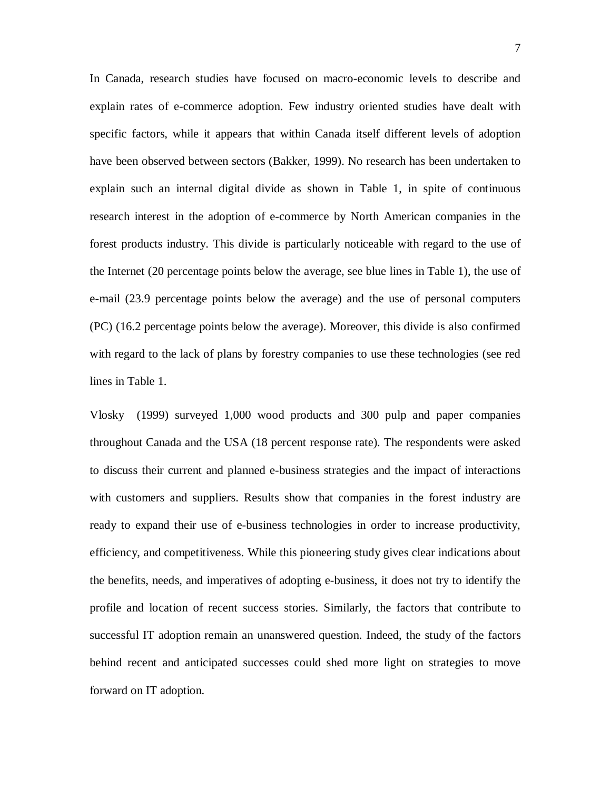In Canada, research studies have focused on macro-economic levels to describe and explain rates of e-commerce adoption. Few industry oriented studies have dealt with specific factors, while it appears that within Canada itself different levels of adoption have been observed between sectors (Bakker, 1999). No research has been undertaken to explain such an internal digital divide as shown in Table 1, in spite of continuous research interest in the adoption of e-commerce by North American companies in the forest products industry. This divide is particularly noticeable with regard to the use of the Internet (20 percentage points below the average, see blue lines in Table 1), the use of e-mail (23.9 percentage points below the average) and the use of personal computers (PC) (16.2 percentage points below the average). Moreover, this divide is also confirmed with regard to the lack of plans by forestry companies to use these technologies (see red lines in Table 1.

Vlosky (1999) surveyed 1,000 wood products and 300 pulp and paper companies throughout Canada and the USA (18 percent response rate). The respondents were asked to discuss their current and planned e-business strategies and the impact of interactions with customers and suppliers. Results show that companies in the forest industry are ready to expand their use of e-business technologies in order to increase productivity, efficiency, and competitiveness. While this pioneering study gives clear indications about the benefits, needs, and imperatives of adopting e-business, it does not try to identify the profile and location of recent success stories. Similarly, the factors that contribute to successful IT adoption remain an unanswered question. Indeed, the study of the factors behind recent and anticipated successes could shed more light on strategies to move forward on IT adoption.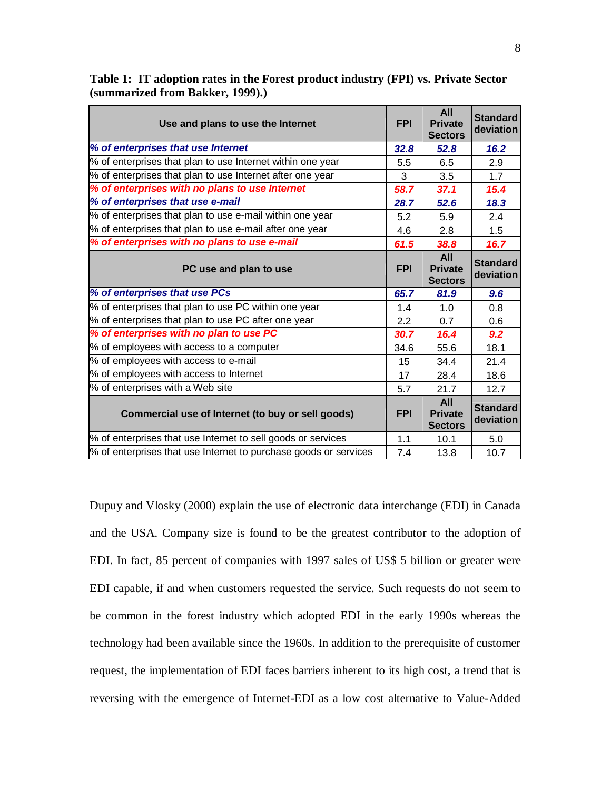| Use and plans to use the Internet                                                                                                | <b>FPI</b> | <b>All</b><br><b>Private</b><br><b>Sectors</b> | <b>Standard</b><br>deviation |
|----------------------------------------------------------------------------------------------------------------------------------|------------|------------------------------------------------|------------------------------|
| % of enterprises that use Internet                                                                                               | 32.8       | 52.8                                           | 16.2                         |
| % of enterprises that plan to use Internet within one year                                                                       | 5.5        | 6.5                                            | 2.9                          |
| % of enterprises that plan to use Internet after one year                                                                        | 3          | 3.5                                            | 1.7                          |
| % of enterprises with no plans to use Internet                                                                                   | 58.7       | 37.1                                           | 15.4                         |
| % of enterprises that use e-mail                                                                                                 | 28.7       | 52.6                                           | 18.3                         |
| % of enterprises that plan to use e-mail within one year                                                                         | 5.2        | 5.9                                            | 2.4                          |
| % of enterprises that plan to use e-mail after one year                                                                          | 4.6        | 2.8                                            | 1.5                          |
| % of enterprises with no plans to use e-mail                                                                                     | 61.5       | 38.8                                           | 16.7                         |
| PC use and plan to use                                                                                                           | <b>FPI</b> | <b>All</b><br><b>Private</b><br><b>Sectors</b> | <b>Standard</b><br>deviation |
| % of enterprises that use PCs                                                                                                    | 65.7       | 81.9                                           | 9.6                          |
| % of enterprises that plan to use PC within one year                                                                             | 1.4        | 1.0                                            | 0.8                          |
| % of enterprises that plan to use PC after one year                                                                              | 2.2        | 0.7                                            | 0.6                          |
| % of enterprises with no plan to use PC                                                                                          | 30.7       | 16.4                                           | 9.2                          |
| % of employees with access to a computer                                                                                         | 34.6       | 55.6                                           | 18.1                         |
| % of employees with access to e-mail                                                                                             | 15         | 34.4                                           | 21.4                         |
| % of employees with access to Internet                                                                                           | 17         | 28.4                                           | 18.6                         |
| % of enterprises with a Web site                                                                                                 | 5.7        | 21.7                                           | 12.7                         |
| Commercial use of Internet (to buy or sell goods)                                                                                | <b>FPI</b> | <b>All</b><br><b>Private</b>                   | <b>Standard</b><br>deviation |
|                                                                                                                                  |            | <b>Sectors</b>                                 |                              |
| % of enterprises that use Internet to sell goods or services<br>% of enterprises that use Internet to purchase goods or services | 1.1        | 10.1                                           | 5.0                          |

**Table 1: IT adoption rates in the Forest product industry (FPI) vs. Private Sector (summarized from Bakker, 1999).)** 

Dupuy and Vlosky (2000) explain the use of electronic data interchange (EDI) in Canada and the USA. Company size is found to be the greatest contributor to the adoption of EDI. In fact, 85 percent of companies with 1997 sales of US\$ 5 billion or greater were EDI capable, if and when customers requested the service. Such requests do not seem to be common in the forest industry which adopted EDI in the early 1990s whereas the technology had been available since the 1960s. In addition to the prerequisite of customer request, the implementation of EDI faces barriers inherent to its high cost, a trend that is reversing with the emergence of Internet-EDI as a low cost alternative to Value-Added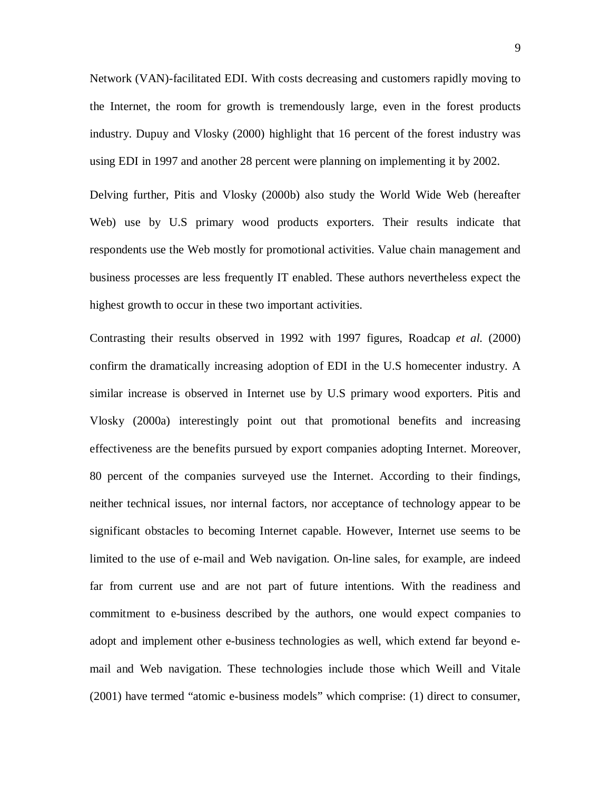Network (VAN)-facilitated EDI. With costs decreasing and customers rapidly moving to the Internet, the room for growth is tremendously large, even in the forest products industry. Dupuy and Vlosky (2000) highlight that 16 percent of the forest industry was using EDI in 1997 and another 28 percent were planning on implementing it by 2002.

Delving further, Pitis and Vlosky (2000b) also study the World Wide Web (hereafter Web) use by U.S primary wood products exporters. Their results indicate that respondents use the Web mostly for promotional activities. Value chain management and business processes are less frequently IT enabled. These authors nevertheless expect the highest growth to occur in these two important activities.

Contrasting their results observed in 1992 with 1997 figures, Roadcap *et al.* (2000) confirm the dramatically increasing adoption of EDI in the U.S homecenter industry. A similar increase is observed in Internet use by U.S primary wood exporters. Pitis and Vlosky (2000a) interestingly point out that promotional benefits and increasing effectiveness are the benefits pursued by export companies adopting Internet. Moreover, 80 percent of the companies surveyed use the Internet. According to their findings, neither technical issues, nor internal factors, nor acceptance of technology appear to be significant obstacles to becoming Internet capable. However, Internet use seems to be limited to the use of e-mail and Web navigation. On-line sales, for example, are indeed far from current use and are not part of future intentions. With the readiness and commitment to e-business described by the authors, one would expect companies to adopt and implement other e-business technologies as well, which extend far beyond email and Web navigation. These technologies include those which Weill and Vitale (2001) have termed "atomic e-business models" which comprise: (1) direct to consumer,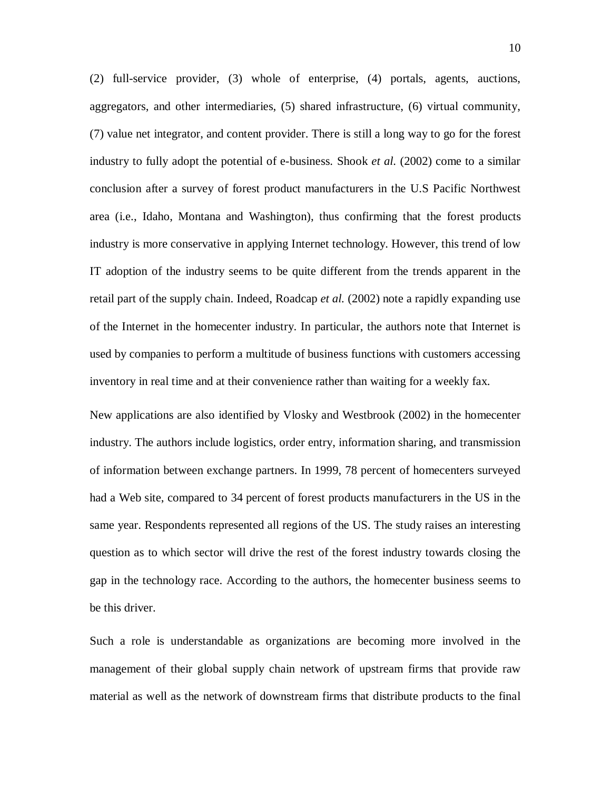(2) full-service provider, (3) whole of enterprise, (4) portals, agents, auctions, aggregators, and other intermediaries, (5) shared infrastructure, (6) virtual community, (7) value net integrator, and content provider. There is still a long way to go for the forest industry to fully adopt the potential of e-business. Shook *et al.* (2002) come to a similar conclusion after a survey of forest product manufacturers in the U.S Pacific Northwest area (i.e., Idaho, Montana and Washington), thus confirming that the forest products industry is more conservative in applying Internet technology. However, this trend of low IT adoption of the industry seems to be quite different from the trends apparent in the retail part of the supply chain. Indeed, Roadcap *et al.* (2002) note a rapidly expanding use of the Internet in the homecenter industry. In particular, the authors note that Internet is used by companies to perform a multitude of business functions with customers accessing inventory in real time and at their convenience rather than waiting for a weekly fax.

New applications are also identified by Vlosky and Westbrook (2002) in the homecenter industry. The authors include logistics, order entry, information sharing, and transmission of information between exchange partners. In 1999, 78 percent of homecenters surveyed had a Web site, compared to 34 percent of forest products manufacturers in the US in the same year. Respondents represented all regions of the US. The study raises an interesting question as to which sector will drive the rest of the forest industry towards closing the gap in the technology race. According to the authors, the homecenter business seems to be this driver.

Such a role is understandable as organizations are becoming more involved in the management of their global supply chain network of upstream firms that provide raw material as well as the network of downstream firms that distribute products to the final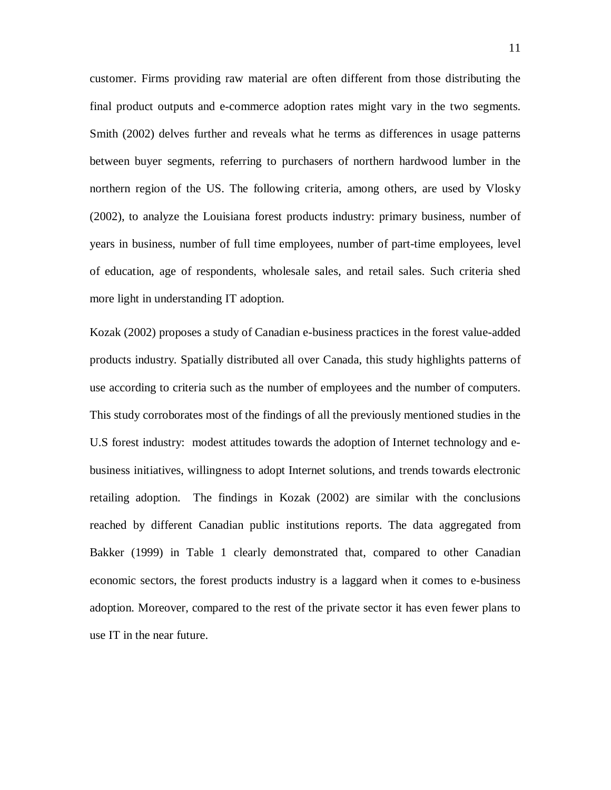customer. Firms providing raw material are often different from those distributing the final product outputs and e-commerce adoption rates might vary in the two segments. Smith (2002) delves further and reveals what he terms as differences in usage patterns between buyer segments, referring to purchasers of northern hardwood lumber in the northern region of the US. The following criteria, among others, are used by Vlosky (2002), to analyze the Louisiana forest products industry: primary business, number of years in business, number of full time employees, number of part-time employees, level of education, age of respondents, wholesale sales, and retail sales. Such criteria shed more light in understanding IT adoption.

Kozak (2002) proposes a study of Canadian e-business practices in the forest value-added products industry. Spatially distributed all over Canada, this study highlights patterns of use according to criteria such as the number of employees and the number of computers. This study corroborates most of the findings of all the previously mentioned studies in the U.S forest industry: modest attitudes towards the adoption of Internet technology and ebusiness initiatives, willingness to adopt Internet solutions, and trends towards electronic retailing adoption. The findings in Kozak (2002) are similar with the conclusions reached by different Canadian public institutions reports. The data aggregated from Bakker (1999) in Table 1 clearly demonstrated that, compared to other Canadian economic sectors, the forest products industry is a laggard when it comes to e-business adoption. Moreover, compared to the rest of the private sector it has even fewer plans to use IT in the near future.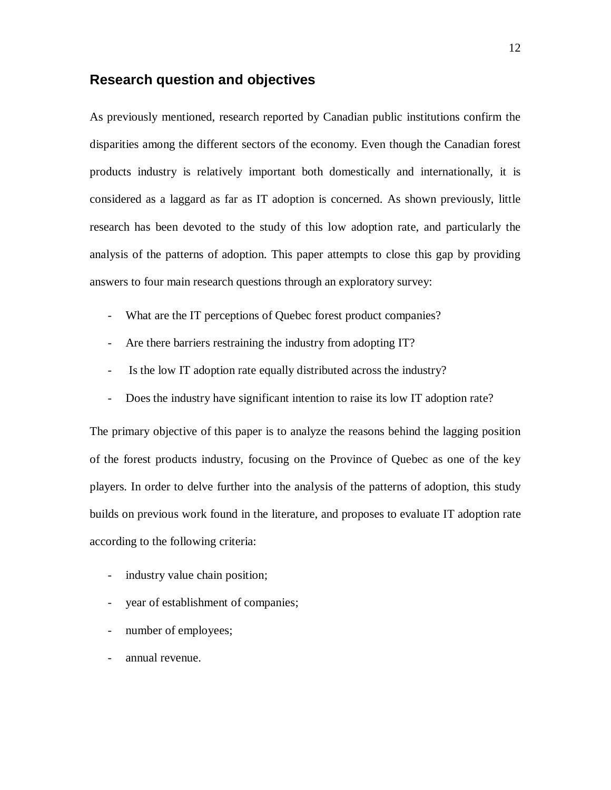# **Research question and objectives**

As previously mentioned, research reported by Canadian public institutions confirm the disparities among the different sectors of the economy. Even though the Canadian forest products industry is relatively important both domestically and internationally, it is considered as a laggard as far as IT adoption is concerned. As shown previously, little research has been devoted to the study of this low adoption rate, and particularly the analysis of the patterns of adoption. This paper attempts to close this gap by providing answers to four main research questions through an exploratory survey:

- What are the IT perceptions of Quebec forest product companies?
- Are there barriers restraining the industry from adopting IT?
- Is the low IT adoption rate equally distributed across the industry?
- Does the industry have significant intention to raise its low IT adoption rate?

The primary objective of this paper is to analyze the reasons behind the lagging position of the forest products industry, focusing on the Province of Quebec as one of the key players. In order to delve further into the analysis of the patterns of adoption, this study builds on previous work found in the literature, and proposes to evaluate IT adoption rate according to the following criteria:

- industry value chain position;
- year of establishment of companies;
- number of employees;
- annual revenue.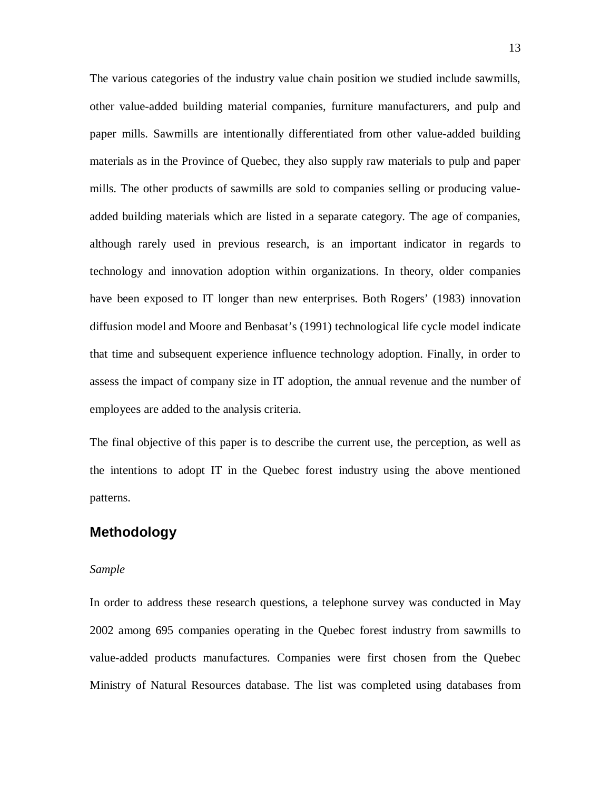The various categories of the industry value chain position we studied include sawmills, other value-added building material companies, furniture manufacturers, and pulp and paper mills. Sawmills are intentionally differentiated from other value-added building materials as in the Province of Quebec, they also supply raw materials to pulp and paper mills. The other products of sawmills are sold to companies selling or producing valueadded building materials which are listed in a separate category. The age of companies, although rarely used in previous research, is an important indicator in regards to technology and innovation adoption within organizations. In theory, older companies have been exposed to IT longer than new enterprises. Both Rogers' (1983) innovation diffusion model and Moore and Benbasat's (1991) technological life cycle model indicate that time and subsequent experience influence technology adoption. Finally, in order to assess the impact of company size in IT adoption, the annual revenue and the number of employees are added to the analysis criteria.

The final objective of this paper is to describe the current use, the perception, as well as the intentions to adopt IT in the Quebec forest industry using the above mentioned patterns.

#### **Methodology**

#### *Sample*

In order to address these research questions, a telephone survey was conducted in May 2002 among 695 companies operating in the Quebec forest industry from sawmills to value-added products manufactures. Companies were first chosen from the Quebec Ministry of Natural Resources database. The list was completed using databases from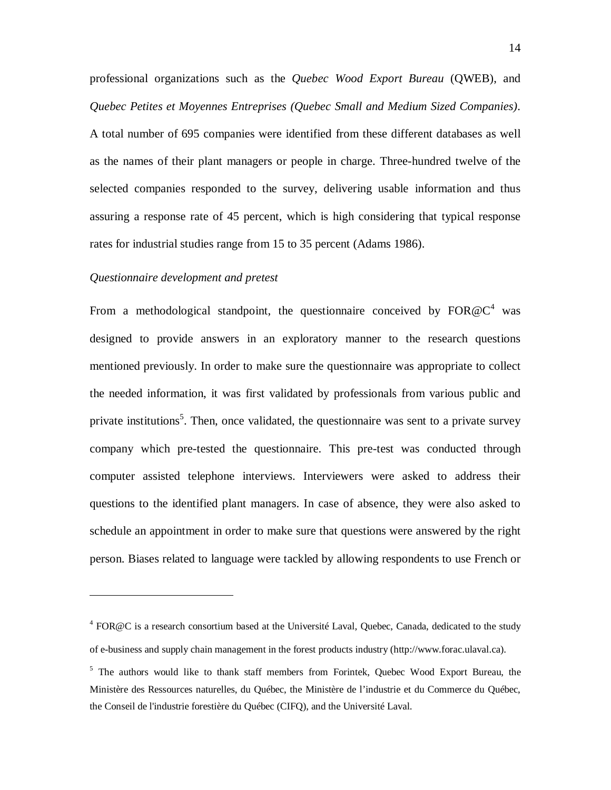professional organizations such as the *Quebec Wood Export Bureau* (QWEB), and *Quebec Petites et Moyennes Entreprises (Quebec Small and Medium Sized Companies)*. A total number of 695 companies were identified from these different databases as well as the names of their plant managers or people in charge. Three-hundred twelve of the selected companies responded to the survey, delivering usable information and thus assuring a response rate of 45 percent, which is high considering that typical response rates for industrial studies range from 15 to 35 percent (Adams 1986).

#### *Questionnaire development and pretest*

 $\overline{a}$ 

From a methodological standpoint, the questionnaire conceived by  $FOR@C<sup>4</sup>$  was designed to provide answers in an exploratory manner to the research questions mentioned previously. In order to make sure the questionnaire was appropriate to collect the needed information, it was first validated by professionals from various public and private institutions<sup>5</sup>. Then, once validated, the questionnaire was sent to a private survey company which pre-tested the questionnaire. This pre-test was conducted through computer assisted telephone interviews. Interviewers were asked to address their questions to the identified plant managers. In case of absence, they were also asked to schedule an appointment in order to make sure that questions were answered by the right person. Biases related to language were tackled by allowing respondents to use French or

<sup>&</sup>lt;sup>4</sup> FOR@C is a research consortium based at the Université Laval, Quebec, Canada, dedicated to the study of e-business and supply chain management in the forest products industry (http://www.forac.ulaval.ca).

<sup>&</sup>lt;sup>5</sup> The authors would like to thank staff members from Forintek, Quebec Wood Export Bureau, the Ministère des Ressources naturelles, du Québec, the Ministère de l'industrie et du Commerce du Québec, the Conseil de l'industrie forestière du Québec (CIFQ), and the Université Laval.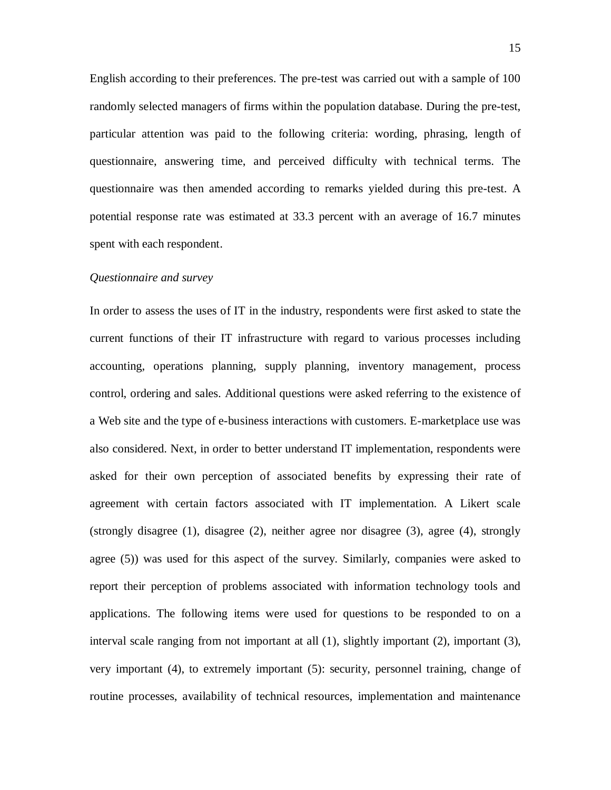English according to their preferences. The pre-test was carried out with a sample of 100 randomly selected managers of firms within the population database. During the pre-test, particular attention was paid to the following criteria: wording, phrasing, length of questionnaire, answering time, and perceived difficulty with technical terms. The questionnaire was then amended according to remarks yielded during this pre-test. A potential response rate was estimated at 33.3 percent with an average of 16.7 minutes spent with each respondent.

#### *Questionnaire and survey*

In order to assess the uses of IT in the industry, respondents were first asked to state the current functions of their IT infrastructure with regard to various processes including accounting, operations planning, supply planning, inventory management, process control, ordering and sales. Additional questions were asked referring to the existence of a Web site and the type of e-business interactions with customers. E-marketplace use was also considered. Next, in order to better understand IT implementation, respondents were asked for their own perception of associated benefits by expressing their rate of agreement with certain factors associated with IT implementation. A Likert scale (strongly disagree (1), disagree (2), neither agree nor disagree (3), agree (4), strongly agree (5)) was used for this aspect of the survey. Similarly, companies were asked to report their perception of problems associated with information technology tools and applications. The following items were used for questions to be responded to on a interval scale ranging from not important at all (1), slightly important (2), important (3), very important (4), to extremely important (5): security, personnel training, change of routine processes, availability of technical resources, implementation and maintenance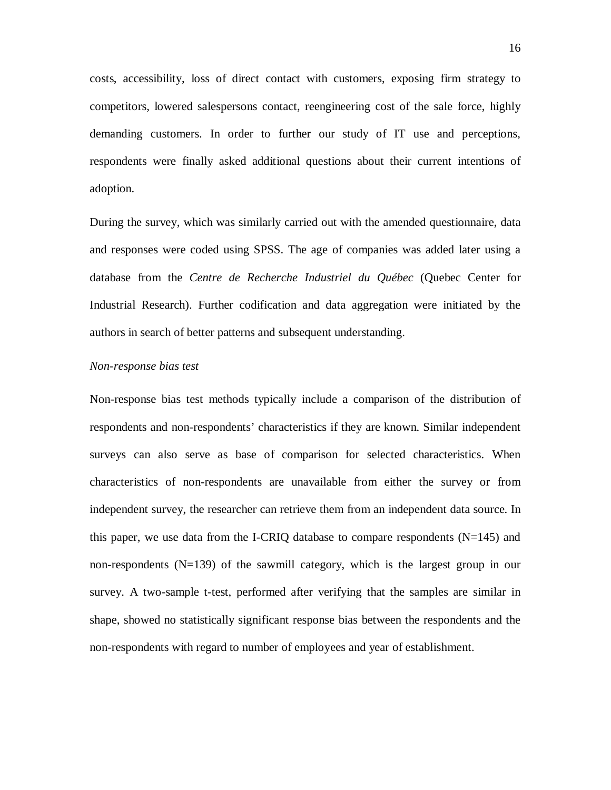costs, accessibility, loss of direct contact with customers, exposing firm strategy to competitors, lowered salespersons contact, reengineering cost of the sale force, highly demanding customers. In order to further our study of IT use and perceptions, respondents were finally asked additional questions about their current intentions of adoption.

During the survey, which was similarly carried out with the amended questionnaire, data and responses were coded using SPSS. The age of companies was added later using a database from the *Centre de Recherche Industriel du Québec* (Quebec Center for Industrial Research). Further codification and data aggregation were initiated by the authors in search of better patterns and subsequent understanding.

#### *Non-response bias test*

Non-response bias test methods typically include a comparison of the distribution of respondents and non-respondents' characteristics if they are known. Similar independent surveys can also serve as base of comparison for selected characteristics. When characteristics of non-respondents are unavailable from either the survey or from independent survey, the researcher can retrieve them from an independent data source. In this paper, we use data from the I-CRIQ database to compare respondents  $(N=145)$  and non-respondents (N=139) of the sawmill category, which is the largest group in our survey. A two-sample t-test, performed after verifying that the samples are similar in shape, showed no statistically significant response bias between the respondents and the non-respondents with regard to number of employees and year of establishment.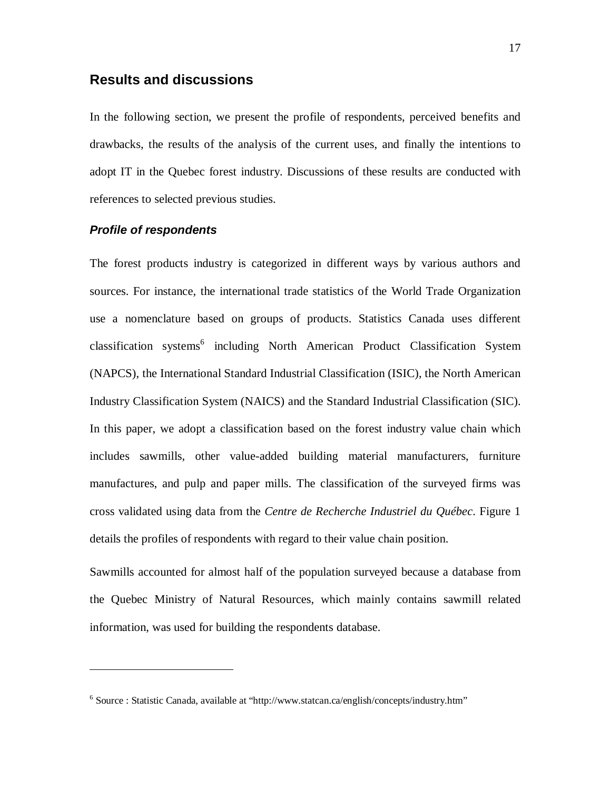## **Results and discussions**

In the following section, we present the profile of respondents, perceived benefits and drawbacks, the results of the analysis of the current uses, and finally the intentions to adopt IT in the Quebec forest industry. Discussions of these results are conducted with references to selected previous studies.

#### **Profile of respondents**

<u>.</u>

The forest products industry is categorized in different ways by various authors and sources. For instance, the international trade statistics of the World Trade Organization use a nomenclature based on groups of products. Statistics Canada uses different classification systems<sup>6</sup> including North American Product Classification System (NAPCS), the International Standard Industrial Classification (ISIC), the North American Industry Classification System (NAICS) and the Standard Industrial Classification (SIC). In this paper, we adopt a classification based on the forest industry value chain which includes sawmills, other value-added building material manufacturers, furniture manufactures, and pulp and paper mills. The classification of the surveyed firms was cross validated using data from the *Centre de Recherche Industriel du Québec*. Figure 1 details the profiles of respondents with regard to their value chain position.

Sawmills accounted for almost half of the population surveyed because a database from the Quebec Ministry of Natural Resources, which mainly contains sawmill related information, was used for building the respondents database.

<sup>&</sup>lt;sup>6</sup> Source : Statistic Canada, available at "http://www.statcan.ca/english/concepts/industry.htm"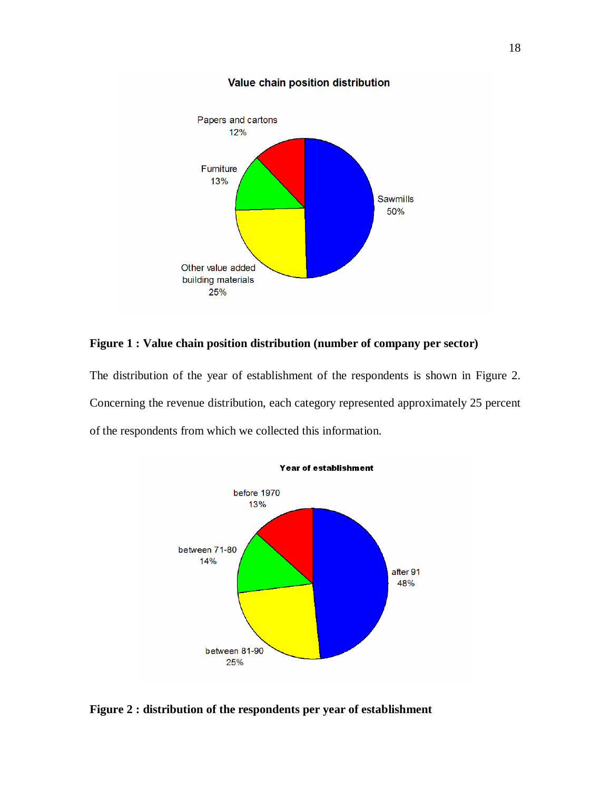

**Figure 1 : Value chain position distribution (number of company per sector)** 

The distribution of the year of establishment of the respondents is shown in Figure 2. Concerning the revenue distribution, each category represented approximately 25 percent of the respondents from which we collected this information.



**Figure 2 : distribution of the respondents per year of establishment**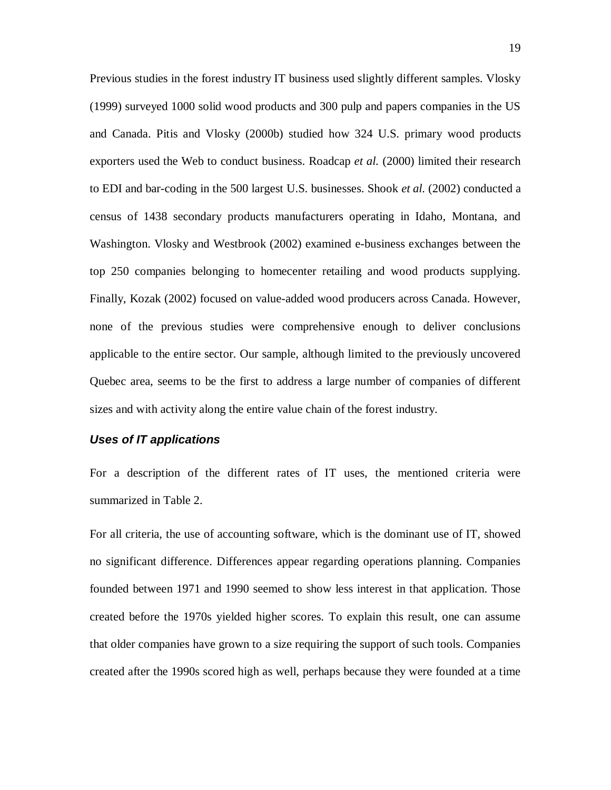Previous studies in the forest industry IT business used slightly different samples. Vlosky (1999) surveyed 1000 solid wood products and 300 pulp and papers companies in the US and Canada. Pitis and Vlosky (2000b) studied how 324 U.S. primary wood products exporters used the Web to conduct business. Roadcap *et al.* (2000) limited their research to EDI and bar-coding in the 500 largest U.S. businesses. Shook *et al.* (2002) conducted a census of 1438 secondary products manufacturers operating in Idaho, Montana, and Washington. Vlosky and Westbrook (2002) examined e-business exchanges between the top 250 companies belonging to homecenter retailing and wood products supplying. Finally, Kozak (2002) focused on value-added wood producers across Canada. However, none of the previous studies were comprehensive enough to deliver conclusions applicable to the entire sector. Our sample, although limited to the previously uncovered Quebec area, seems to be the first to address a large number of companies of different sizes and with activity along the entire value chain of the forest industry.

#### **Uses of IT applications**

For a description of the different rates of IT uses, the mentioned criteria were summarized in Table 2.

For all criteria, the use of accounting software, which is the dominant use of IT, showed no significant difference. Differences appear regarding operations planning. Companies founded between 1971 and 1990 seemed to show less interest in that application. Those created before the 1970s yielded higher scores. To explain this result, one can assume that older companies have grown to a size requiring the support of such tools. Companies created after the 1990s scored high as well, perhaps because they were founded at a time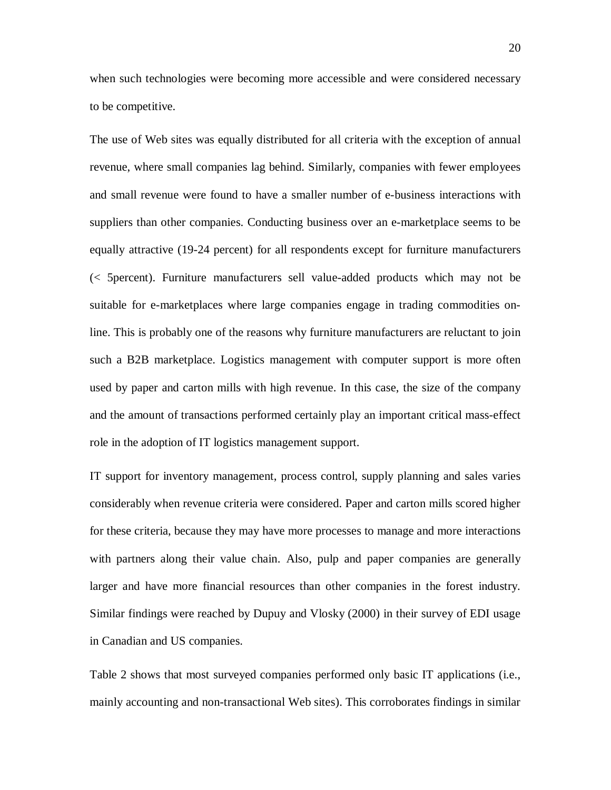when such technologies were becoming more accessible and were considered necessary to be competitive.

The use of Web sites was equally distributed for all criteria with the exception of annual revenue, where small companies lag behind. Similarly, companies with fewer employees and small revenue were found to have a smaller number of e-business interactions with suppliers than other companies. Conducting business over an e-marketplace seems to be equally attractive (19-24 percent) for all respondents except for furniture manufacturers (< 5percent). Furniture manufacturers sell value-added products which may not be suitable for e-marketplaces where large companies engage in trading commodities online. This is probably one of the reasons why furniture manufacturers are reluctant to join such a B2B marketplace. Logistics management with computer support is more often used by paper and carton mills with high revenue. In this case, the size of the company and the amount of transactions performed certainly play an important critical mass-effect role in the adoption of IT logistics management support.

IT support for inventory management, process control, supply planning and sales varies considerably when revenue criteria were considered. Paper and carton mills scored higher for these criteria, because they may have more processes to manage and more interactions with partners along their value chain. Also, pulp and paper companies are generally larger and have more financial resources than other companies in the forest industry. Similar findings were reached by Dupuy and Vlosky (2000) in their survey of EDI usage in Canadian and US companies.

Table 2 shows that most surveyed companies performed only basic IT applications (i.e., mainly accounting and non-transactional Web sites). This corroborates findings in similar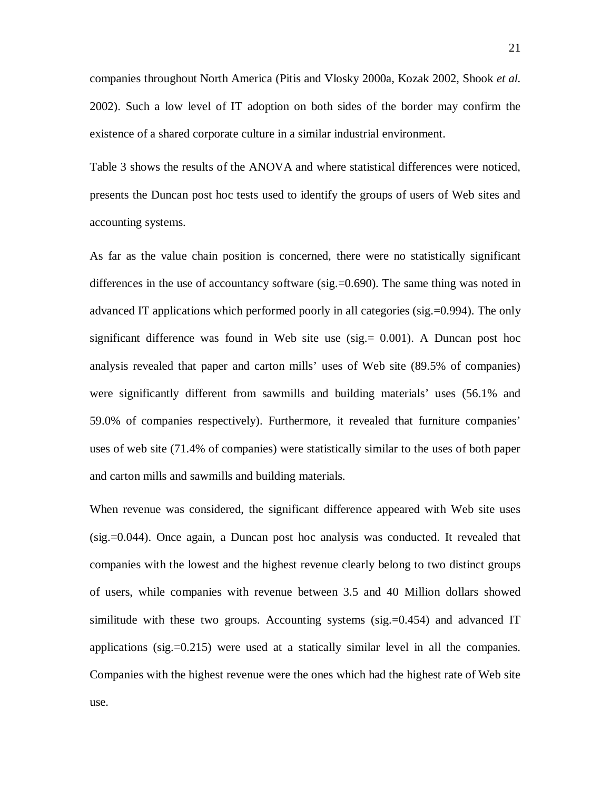companies throughout North America (Pitis and Vlosky 2000a, Kozak 2002, Shook *et al.* 2002). Such a low level of IT adoption on both sides of the border may confirm the existence of a shared corporate culture in a similar industrial environment.

Table 3 shows the results of the ANOVA and where statistical differences were noticed, presents the Duncan post hoc tests used to identify the groups of users of Web sites and accounting systems.

As far as the value chain position is concerned, there were no statistically significant differences in the use of accountancy software (sig.=0.690). The same thing was noted in advanced IT applications which performed poorly in all categories (sig.=0.994). The only significant difference was found in Web site use  $(sig = 0.001)$ . A Duncan post hoc analysis revealed that paper and carton mills' uses of Web site (89.5% of companies) were significantly different from sawmills and building materials' uses (56.1% and 59.0% of companies respectively). Furthermore, it revealed that furniture companies' uses of web site (71.4% of companies) were statistically similar to the uses of both paper and carton mills and sawmills and building materials.

When revenue was considered, the significant difference appeared with Web site uses (sig.=0.044). Once again, a Duncan post hoc analysis was conducted. It revealed that companies with the lowest and the highest revenue clearly belong to two distinct groups of users, while companies with revenue between 3.5 and 40 Million dollars showed similitude with these two groups. Accounting systems (sig.=0.454) and advanced IT applications (sig.=0.215) were used at a statically similar level in all the companies. Companies with the highest revenue were the ones which had the highest rate of Web site use.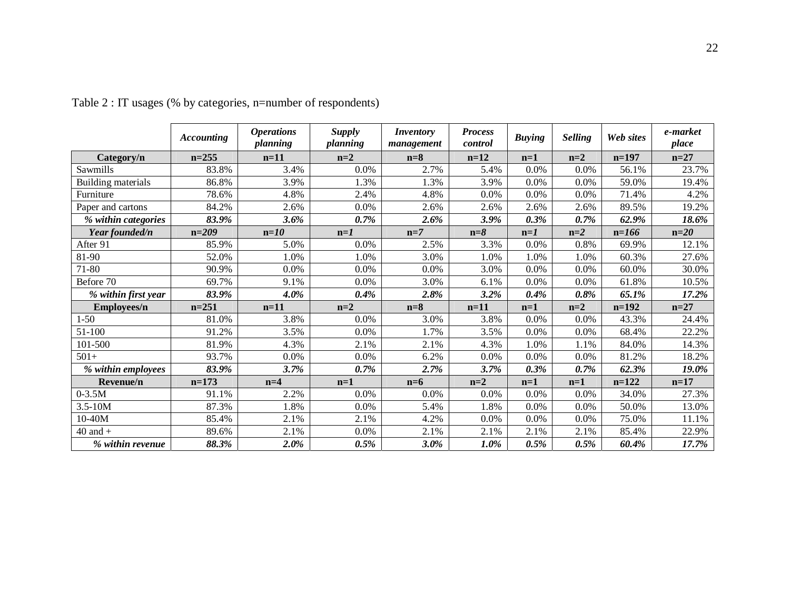|                     | <b>Accounting</b> | <b>Operations</b><br>planning | <b>Supply</b><br>planning | <b>Inventory</b><br>management | <b>Process</b><br>control | <b>Buying</b> | <b>Selling</b> | Web sites | e-market<br>place |
|---------------------|-------------------|-------------------------------|---------------------------|--------------------------------|---------------------------|---------------|----------------|-----------|-------------------|
| Category/n          | $n=255$           | $n=11$                        | $n=2$                     | $n=8$                          | $n=12$                    | $n=1$         | $n=2$          | $n=197$   | $n=27$            |
| Sawmills            | 83.8%             | 3.4%                          | 0.0%                      | 2.7%                           | 5.4%                      | 0.0%          | 0.0%           | 56.1%     | 23.7%             |
| Building materials  | 86.8%             | 3.9%                          | 1.3%                      | 1.3%                           | 3.9%                      | 0.0%          | 0.0%           | 59.0%     | 19.4%             |
| Furniture           | 78.6%             | 4.8%                          | 2.4%                      | 4.8%                           | 0.0%                      | 0.0%          | 0.0%           | 71.4%     | 4.2%              |
| Paper and cartons   | 84.2%             | 2.6%                          | $0.0\%$                   | 2.6%                           | 2.6%                      | 2.6%          | 2.6%           | 89.5%     | 19.2%             |
| % within categories | 83.9%             | 3.6%                          | 0.7%                      | 2.6%                           | 3.9%                      | 0.3%          | 0.7%           | 62.9%     | 18.6%             |
| Year founded/n      | $n=209$           | $n=10$                        | $n=1$                     | $n=7$                          | $n = 8$                   | $n=1$         | $n=2$          | $n=166$   | $n=20$            |
| After 91            | 85.9%             | 5.0%                          | $0.0\%$                   | 2.5%                           | 3.3%                      | 0.0%          | 0.8%           | 69.9%     | 12.1%             |
| 81-90               | 52.0%             | 1.0%                          | 1.0%                      | 3.0%                           | 1.0%                      | 1.0%          | 1.0%           | 60.3%     | 27.6%             |
| 71-80               | 90.9%             | 0.0%                          | $0.0\%$                   | 0.0%                           | 3.0%                      | 0.0%          | 0.0%           | 60.0%     | 30.0%             |
| Before 70           | 69.7%             | 9.1%                          | $0.0\%$                   | 3.0%                           | 6.1%                      | 0.0%          | 0.0%           | 61.8%     | 10.5%             |
| % within first year | 83.9%             | $4.0\%$                       | 0.4%                      | 2.8%                           | 3.2%                      | 0.4%          | 0.8%           | 65.1%     | 17.2%             |
| Employees/n         | $n = 251$         | $n=11$                        | $n=2$                     | $n=8$                          | $n=11$                    | $n=1$         | $n=2$          | $n=192$   | $n=27$            |
| $1 - 50$            | 81.0%             | 3.8%                          | $0.0\%$                   | 3.0%                           | 3.8%                      | 0.0%          | 0.0%           | 43.3%     | 24.4%             |
| 51-100              | 91.2%             | 3.5%                          | $0.0\%$                   | 1.7%                           | 3.5%                      | 0.0%          | 0.0%           | 68.4%     | 22.2%             |
| 101-500             | 81.9%             | 4.3%                          | 2.1%                      | 2.1%                           | 4.3%                      | 1.0%          | 1.1%           | 84.0%     | 14.3%             |
| $501+$              | 93.7%             | 0.0%                          | $0.0\%$                   | 6.2%                           | 0.0%                      | 0.0%          | 0.0%           | 81.2%     | 18.2%             |
| % within employees  | 83.9%             | 3.7%                          | $0.7\%$                   | 2.7%                           | 3.7%                      | $0.3\%$       | 0.7%           | 62.3%     | 19.0%             |
| Revenue/n           | $n=173$           | $n=4$                         | $n=1$                     | $n=6$                          | $n=2$                     | $n=1$         | $n=1$          | $n=122$   | $n=17$            |
| $0 - 3.5M$          | 91.1%             | 2.2%                          | $0.0\%$                   | 0.0%                           | 0.0%                      | 0.0%          | 0.0%           | 34.0%     | 27.3%             |
| $3.5 - 10M$         | 87.3%             | 1.8%                          | 0.0%                      | 5.4%                           | 1.8%                      | 0.0%          | 0.0%           | 50.0%     | 13.0%             |
| 10-40M              | 85.4%             | 2.1%                          | 2.1%                      | 4.2%                           | 0.0%                      | 0.0%          | 0.0%           | 75.0%     | 11.1%             |
| $40$ and $+$        | 89.6%             | 2.1%                          | $0.0\%$                   | 2.1%                           | 2.1%                      | 2.1%          | 2.1%           | 85.4%     | 22.9%             |
| % within revenue    | 88.3%             | 2.0%                          | 0.5%                      | $3.0\%$                        | 1.0%                      | $0.5\%$       | 0.5%           | 60.4%     | 17.7%             |

Table 2 : IT usages (% by categories, n=number of respondents)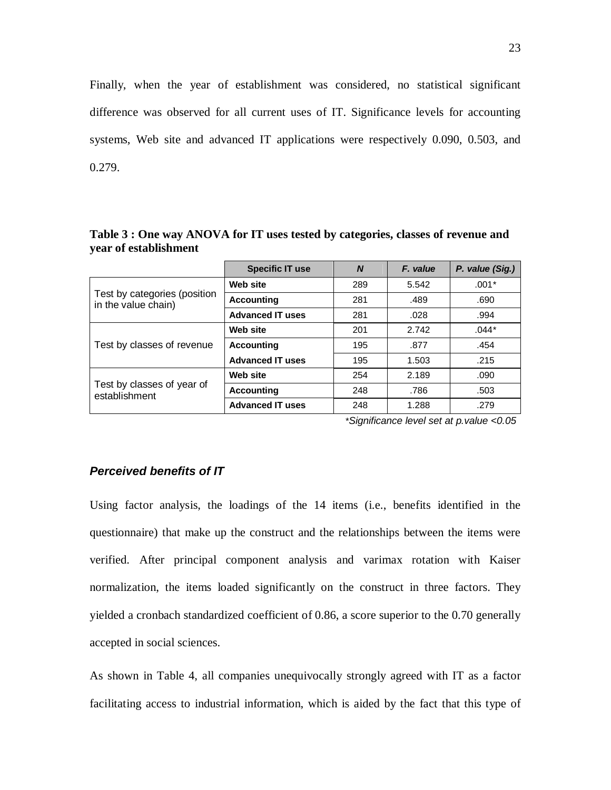Finally, when the year of establishment was considered, no statistical significant difference was observed for all current uses of IT. Significance levels for accounting systems, Web site and advanced IT applications were respectively 0.090, 0.503, and 0.279.

|                                                     | <b>Specific IT use</b>  | N   | F. value | P. value (Sig.) |
|-----------------------------------------------------|-------------------------|-----|----------|-----------------|
|                                                     | Web site                | 289 | 5.542    | $.001*$         |
| Test by categories (position<br>in the value chain) | <b>Accounting</b>       | 281 | .489     | .690            |
|                                                     | <b>Advanced IT uses</b> | 281 | .028     | .994            |
|                                                     | Web site                | 201 | 2.742    | $.044*$         |
| Test by classes of revenue                          | <b>Accounting</b>       | 195 | .877     | .454            |
|                                                     | <b>Advanced IT uses</b> | 195 | 1.503    | .215            |
|                                                     | Web site                | 254 | 2.189    | .090            |
| Test by classes of year of<br>establishment         | <b>Accounting</b>       | 248 | .786     | .503            |
|                                                     | <b>Advanced IT uses</b> | 248 | 1.288    | .279            |

**Table 3 : One way ANOVA for IT uses tested by categories, classes of revenue and year of establishment** 

\*Significance level set at p.value <0.05

#### **Perceived benefits of IT**

Using factor analysis, the loadings of the 14 items (i.e., benefits identified in the questionnaire) that make up the construct and the relationships between the items were verified. After principal component analysis and varimax rotation with Kaiser normalization, the items loaded significantly on the construct in three factors. They yielded a cronbach standardized coefficient of 0.86, a score superior to the 0.70 generally accepted in social sciences.

As shown in Table 4, all companies unequivocally strongly agreed with IT as a factor facilitating access to industrial information, which is aided by the fact that this type of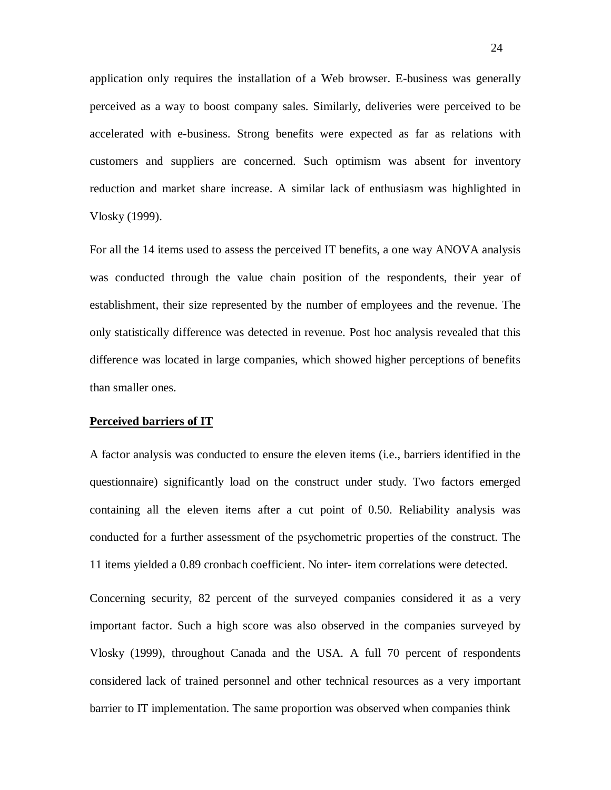application only requires the installation of a Web browser. E-business was generally perceived as a way to boost company sales. Similarly, deliveries were perceived to be accelerated with e-business. Strong benefits were expected as far as relations with customers and suppliers are concerned. Such optimism was absent for inventory reduction and market share increase. A similar lack of enthusiasm was highlighted in Vlosky (1999).

For all the 14 items used to assess the perceived IT benefits, a one way ANOVA analysis was conducted through the value chain position of the respondents, their year of establishment, their size represented by the number of employees and the revenue. The only statistically difference was detected in revenue. Post hoc analysis revealed that this difference was located in large companies, which showed higher perceptions of benefits than smaller ones.

#### **Perceived barriers of IT**

A factor analysis was conducted to ensure the eleven items (i.e., barriers identified in the questionnaire) significantly load on the construct under study. Two factors emerged containing all the eleven items after a cut point of 0.50. Reliability analysis was conducted for a further assessment of the psychometric properties of the construct. The 11 items yielded a 0.89 cronbach coefficient. No inter- item correlations were detected.

Concerning security, 82 percent of the surveyed companies considered it as a very important factor. Such a high score was also observed in the companies surveyed by Vlosky (1999), throughout Canada and the USA. A full 70 percent of respondents considered lack of trained personnel and other technical resources as a very important barrier to IT implementation. The same proportion was observed when companies think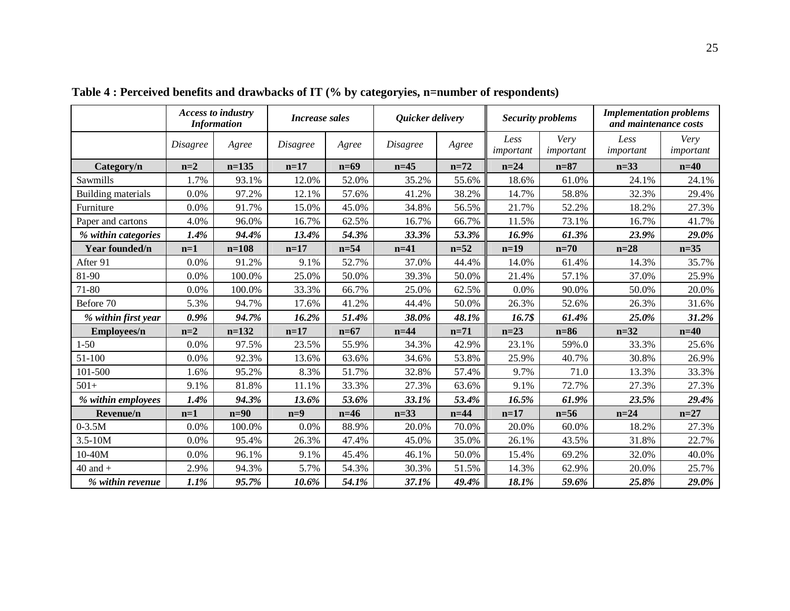|                     |                 | <b>Access to industry</b><br><b>Information</b> | <b>Increase sales</b> |        | Quicker delivery |          | <b>Security problems</b> |                   | <b>Implementation problems</b><br>and maintenance costs |                   |
|---------------------|-----------------|-------------------------------------------------|-----------------------|--------|------------------|----------|--------------------------|-------------------|---------------------------------------------------------|-------------------|
|                     | <b>Disagree</b> | Agree                                           | <i>Disagree</i>       | Agree  | <b>Disagree</b>  | Agree    | Less<br>important        | Very<br>important | Less<br>important                                       | Very<br>important |
| Category/n          | $n=2$           | $n=135$                                         | $n=17$                | $n=69$ | $n=45$           | $n = 72$ | $n=24$                   | $n=87$            | $n=33$                                                  | $n=40$            |
| Sawmills            | 1.7%            | 93.1%                                           | 12.0%                 | 52.0%  | 35.2%            | 55.6%    | 18.6%                    | 61.0%             | 24.1%                                                   | 24.1%             |
| Building materials  | 0.0%            | 97.2%                                           | 12.1%                 | 57.6%  | 41.2%            | 38.2%    | 14.7%                    | 58.8%             | 32.3%                                                   | 29.4%             |
| Furniture           | 0.0%            | 91.7%                                           | 15.0%                 | 45.0%  | 34.8%            | 56.5%    | 21.7%                    | 52.2%             | 18.2%                                                   | 27.3%             |
| Paper and cartons   | 4.0%            | 96.0%                                           | 16.7%                 | 62.5%  | 16.7%            | 66.7%    | 11.5%                    | 73.1%             | 16.7%                                                   | 41.7%             |
| % within categories | 1.4%            | 94.4%                                           | 13.4%                 | 54.3%  | 33.3%            | 53.3%    | 16.9%                    | 61.3%             | 23.9%                                                   | 29.0%             |
| Year founded/n      | $n=1$           | $n = 108$                                       | $n=17$                | $n=54$ | $n=41$           | $n=52$   | $n=19$                   | $n=70$            | $n=28$                                                  | $n=35$            |
| After 91            | 0.0%            | 91.2%                                           | 9.1%                  | 52.7%  | 37.0%            | 44.4%    | 14.0%                    | 61.4%             | 14.3%                                                   | 35.7%             |
| 81-90               | 0.0%            | 100.0%                                          | 25.0%                 | 50.0%  | 39.3%            | 50.0%    | 21.4%                    | 57.1%             | 37.0%                                                   | 25.9%             |
| 71-80               | $0.0\%$         | 100.0%                                          | 33.3%                 | 66.7%  | 25.0%            | 62.5%    | 0.0%                     | 90.0%             | 50.0%                                                   | 20.0%             |
| Before 70           | 5.3%            | 94.7%                                           | 17.6%                 | 41.2%  | 44.4%            | 50.0%    | 26.3%                    | 52.6%             | 26.3%                                                   | 31.6%             |
| % within first year | 0.9%            | 94.7%                                           | 16.2%                 | 51.4%  | 38.0%            | 48.1%    | 16.7\$                   | 61.4%             | 25.0%                                                   | 31.2%             |
| <b>Employees/n</b>  | $n=2$           | $n=132$                                         | $n=17$                | $n=67$ | $n=44$           | $n = 71$ | $n=23$                   | $n=86$            | $n = 32$                                                | $n=40$            |
| $1 - 50$            | 0.0%            | 97.5%                                           | 23.5%                 | 55.9%  | 34.3%            | 42.9%    | 23.1%                    | 59%.0             | 33.3%                                                   | 25.6%             |
| 51-100              | 0.0%            | 92.3%                                           | 13.6%                 | 63.6%  | 34.6%            | 53.8%    | 25.9%                    | 40.7%             | 30.8%                                                   | 26.9%             |
| 101-500             | 1.6%            | 95.2%                                           | 8.3%                  | 51.7%  | 32.8%            | 57.4%    | 9.7%                     | 71.0              | 13.3%                                                   | 33.3%             |
| $501+$              | 9.1%            | 81.8%                                           | 11.1%                 | 33.3%  | 27.3%            | 63.6%    | 9.1%                     | 72.7%             | 27.3%                                                   | 27.3%             |
| % within employees  | 1.4%            | 94.3%                                           | 13.6%                 | 53.6%  | 33.1%            | 53.4%    | 16.5%                    | 61.9%             | 23.5%                                                   | 29.4%             |
| Revenue/n           | $n=1$           | $n=90$                                          | $n=9$                 | $n=46$ | $n = 33$         | $n=44$   | $n=17$                   | $n=56$            | $n = 24$                                                | $n=27$            |
| $0 - 3.5M$          | 0.0%            | 100.0%                                          | 0.0%                  | 88.9%  | 20.0%            | 70.0%    | 20.0%                    | 60.0%             | 18.2%                                                   | 27.3%             |
| $3.5 - 10M$         | 0.0%            | 95.4%                                           | 26.3%                 | 47.4%  | 45.0%            | 35.0%    | 26.1%                    | 43.5%             | 31.8%                                                   | 22.7%             |
| $10-40M$            | 0.0%            | 96.1%                                           | 9.1%                  | 45.4%  | 46.1%            | 50.0%    | 15.4%                    | 69.2%             | 32.0%                                                   | 40.0%             |
| $40$ and $+$        | 2.9%            | 94.3%                                           | 5.7%                  | 54.3%  | 30.3%            | 51.5%    | 14.3%                    | 62.9%             | 20.0%                                                   | 25.7%             |
| % within revenue    | 1.1%            | 95.7%                                           | 10.6%                 | 54.1%  | 37.1%            | 49.4%    | 18.1%                    | 59.6%             | 25.8%                                                   | 29.0%             |

**Table 4 : Perceived benefits and drawbacks of IT (% by categoryies, n=number of respondents)**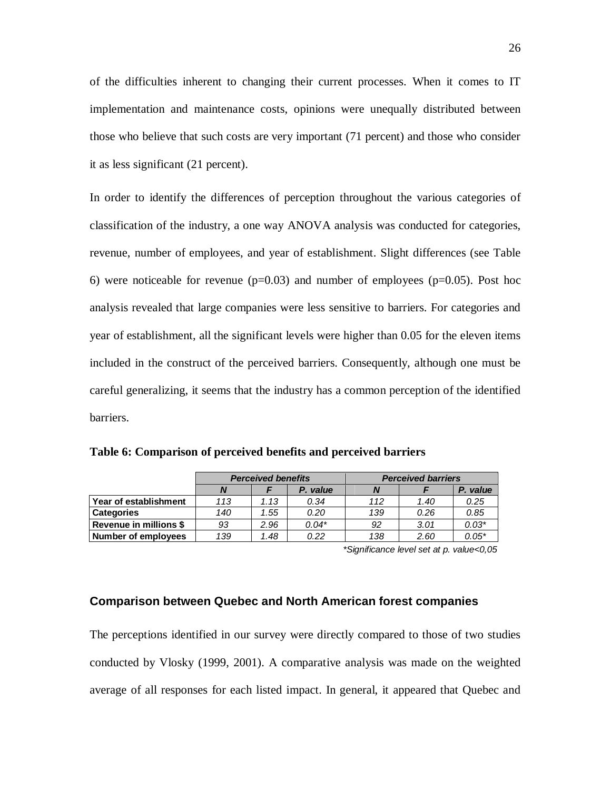of the difficulties inherent to changing their current processes. When it comes to IT implementation and maintenance costs, opinions were unequally distributed between those who believe that such costs are very important (71 percent) and those who consider it as less significant (21 percent).

In order to identify the differences of perception throughout the various categories of classification of the industry, a one way ANOVA analysis was conducted for categories, revenue, number of employees, and year of establishment. Slight differences (see Table 6) were noticeable for revenue ( $p=0.03$ ) and number of employees ( $p=0.05$ ). Post hoc analysis revealed that large companies were less sensitive to barriers. For categories and year of establishment, all the significant levels were higher than 0.05 for the eleven items included in the construct of the perceived barriers. Consequently, although one must be careful generalizing, it seems that the industry has a common perception of the identified barriers.

|                        | <b>Perceived benefits</b> |          |         | <b>Perceived barriers</b> |         |          |  |
|------------------------|---------------------------|----------|---------|---------------------------|---------|----------|--|
|                        |                           | P. value |         |                           |         | P. value |  |
| Year of establishment  | 113                       | 1.13     | 0.34    | 112                       | 1.40    | 0.25     |  |
| <b>Categories</b>      | 140                       | 1.55     | 0.20    | 139                       | 0.26    | 0.85     |  |
| Revenue in millions \$ | 93                        | 2.96     | $0.04*$ | 92                        | 3.01    | $0.03*$  |  |
| Number of employees    | 0.22<br>139<br>1.48       |          | 138     | 2.60                      | $0.05*$ |          |  |

\*Significance level set at p. value<0,05

#### **Comparison between Quebec and North American forest companies**

The perceptions identified in our survey were directly compared to those of two studies conducted by Vlosky (1999, 2001). A comparative analysis was made on the weighted average of all responses for each listed impact. In general, it appeared that Quebec and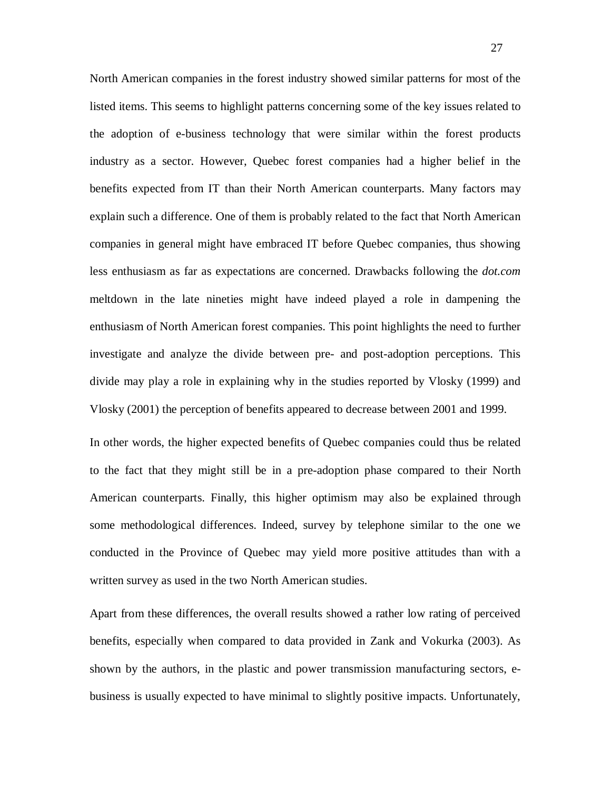North American companies in the forest industry showed similar patterns for most of the listed items. This seems to highlight patterns concerning some of the key issues related to the adoption of e-business technology that were similar within the forest products industry as a sector. However, Quebec forest companies had a higher belief in the benefits expected from IT than their North American counterparts. Many factors may explain such a difference. One of them is probably related to the fact that North American companies in general might have embraced IT before Quebec companies, thus showing less enthusiasm as far as expectations are concerned. Drawbacks following the *dot.com* meltdown in the late nineties might have indeed played a role in dampening the enthusiasm of North American forest companies. This point highlights the need to further investigate and analyze the divide between pre- and post-adoption perceptions. This divide may play a role in explaining why in the studies reported by Vlosky (1999) and Vlosky (2001) the perception of benefits appeared to decrease between 2001 and 1999.

In other words, the higher expected benefits of Quebec companies could thus be related to the fact that they might still be in a pre-adoption phase compared to their North American counterparts. Finally, this higher optimism may also be explained through some methodological differences. Indeed, survey by telephone similar to the one we conducted in the Province of Quebec may yield more positive attitudes than with a written survey as used in the two North American studies.

Apart from these differences, the overall results showed a rather low rating of perceived benefits, especially when compared to data provided in Zank and Vokurka (2003). As shown by the authors, in the plastic and power transmission manufacturing sectors, ebusiness is usually expected to have minimal to slightly positive impacts. Unfortunately,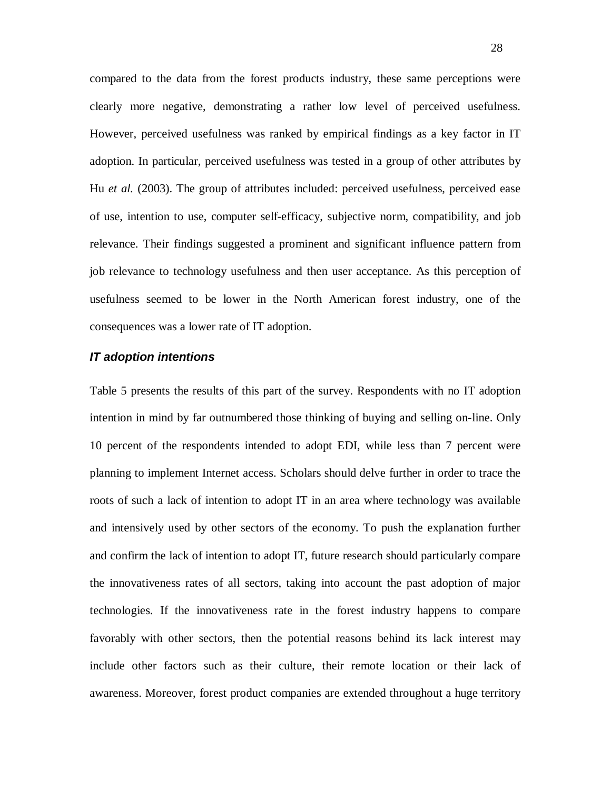compared to the data from the forest products industry, these same perceptions were clearly more negative, demonstrating a rather low level of perceived usefulness. However, perceived usefulness was ranked by empirical findings as a key factor in IT adoption. In particular, perceived usefulness was tested in a group of other attributes by Hu *et al.* (2003). The group of attributes included: perceived usefulness, perceived ease of use, intention to use, computer self-efficacy, subjective norm, compatibility, and job relevance. Their findings suggested a prominent and significant influence pattern from job relevance to technology usefulness and then user acceptance. As this perception of usefulness seemed to be lower in the North American forest industry, one of the consequences was a lower rate of IT adoption.

#### **IT adoption intentions**

Table 5 presents the results of this part of the survey. Respondents with no IT adoption intention in mind by far outnumbered those thinking of buying and selling on-line. Only 10 percent of the respondents intended to adopt EDI, while less than 7 percent were planning to implement Internet access. Scholars should delve further in order to trace the roots of such a lack of intention to adopt IT in an area where technology was available and intensively used by other sectors of the economy. To push the explanation further and confirm the lack of intention to adopt IT, future research should particularly compare the innovativeness rates of all sectors, taking into account the past adoption of major technologies. If the innovativeness rate in the forest industry happens to compare favorably with other sectors, then the potential reasons behind its lack interest may include other factors such as their culture, their remote location or their lack of awareness. Moreover, forest product companies are extended throughout a huge territory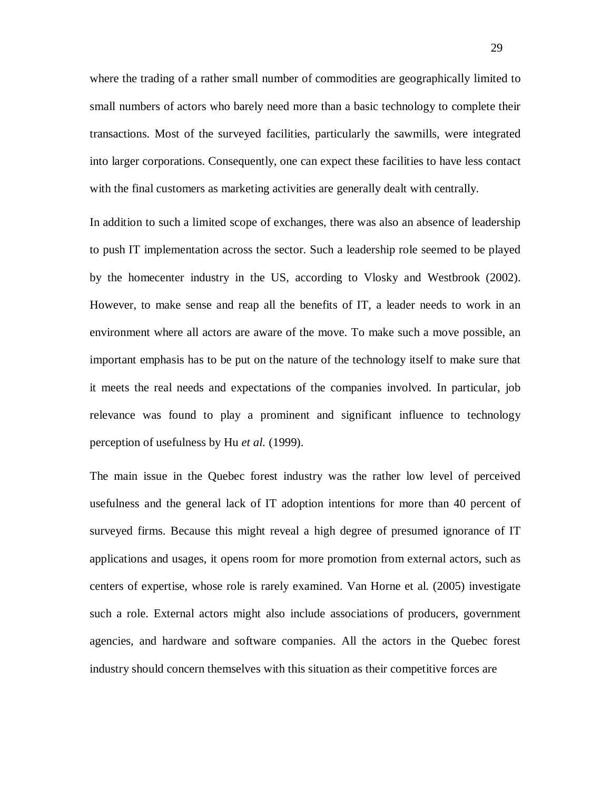where the trading of a rather small number of commodities are geographically limited to small numbers of actors who barely need more than a basic technology to complete their transactions. Most of the surveyed facilities, particularly the sawmills, were integrated into larger corporations. Consequently, one can expect these facilities to have less contact with the final customers as marketing activities are generally dealt with centrally.

In addition to such a limited scope of exchanges, there was also an absence of leadership to push IT implementation across the sector. Such a leadership role seemed to be played by the homecenter industry in the US, according to Vlosky and Westbrook (2002). However, to make sense and reap all the benefits of IT, a leader needs to work in an environment where all actors are aware of the move. To make such a move possible, an important emphasis has to be put on the nature of the technology itself to make sure that it meets the real needs and expectations of the companies involved. In particular, job relevance was found to play a prominent and significant influence to technology perception of usefulness by Hu *et al.* (1999).

The main issue in the Quebec forest industry was the rather low level of perceived usefulness and the general lack of IT adoption intentions for more than 40 percent of surveyed firms. Because this might reveal a high degree of presumed ignorance of IT applications and usages, it opens room for more promotion from external actors, such as centers of expertise, whose role is rarely examined. Van Horne et al. (2005) investigate such a role. External actors might also include associations of producers, government agencies, and hardware and software companies. All the actors in the Quebec forest industry should concern themselves with this situation as their competitive forces are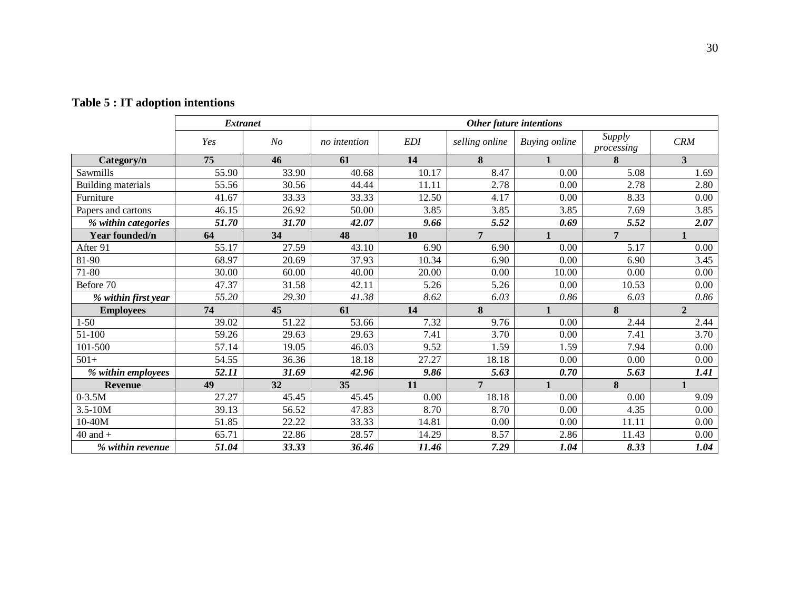|                     | <b>Extranet</b> |                | Other future intentions |            |                |                      |                      |                |
|---------------------|-----------------|----------------|-------------------------|------------|----------------|----------------------|----------------------|----------------|
|                     | Yes             | N <sub>o</sub> | no intention            | <i>EDI</i> | selling online | <b>Buying online</b> | Supply<br>processing | <b>CRM</b>     |
| Category/n          | 75              | 46             | 61                      | 14         | 8              | 1                    | 8                    | $\overline{3}$ |
| Sawmills            | 55.90           | 33.90          | 40.68                   | 10.17      | 8.47           | 0.00                 | 5.08                 | 1.69           |
| Building materials  | 55.56           | 30.56          | 44.44                   | 11.11      | 2.78           | 0.00                 | 2.78                 | 2.80           |
| Furniture           | 41.67           | 33.33          | 33.33                   | 12.50      | 4.17           | 0.00                 | 8.33                 | 0.00           |
| Papers and cartons  | 46.15           | 26.92          | 50.00                   | 3.85       | 3.85           | 3.85                 | 7.69                 | 3.85           |
| % within categories | 51.70           | 31.70          | 42.07                   | 9.66       | 5.52           | 0.69                 | 5.52                 | 2.07           |
| Year founded/n      | 64              | 34             | 48                      | 10         | $\overline{7}$ |                      | $\overline{7}$       |                |
| After 91            | 55.17           | 27.59          | 43.10                   | 6.90       | 6.90           | 0.00                 | 5.17                 | 0.00           |
| 81-90               | 68.97           | 20.69          | 37.93                   | 10.34      | 6.90           | 0.00                 | 6.90                 | 3.45           |
| 71-80               | 30.00           | 60.00          | 40.00                   | 20.00      | 0.00           | 10.00                | 0.00                 | 0.00           |
| Before 70           | 47.37           | 31.58          | 42.11                   | 5.26       | 5.26           | 0.00                 | 10.53                | 0.00           |
| % within first year | 55.20           | 29.30          | 41.38                   | 8.62       | 6.03           | 0.86                 | 6.03                 | 0.86           |
| <b>Employees</b>    | 74              | 45             | 61                      | 14         | 8              |                      | 8                    | $\mathbf{2}$   |
| $1 - 50$            | 39.02           | 51.22          | 53.66                   | 7.32       | 9.76           | 0.00                 | 2.44                 | 2.44           |
| 51-100              | 59.26           | 29.63          | 29.63                   | 7.41       | 3.70           | 0.00                 | 7.41                 | 3.70           |
| 101-500             | 57.14           | 19.05          | 46.03                   | 9.52       | 1.59           | 1.59                 | 7.94                 | 0.00           |
| $501+$              | 54.55           | 36.36          | 18.18                   | 27.27      | 18.18          | 0.00                 | 0.00                 | 0.00           |
| % within employees  | 52.11           | 31.69          | 42.96                   | 9.86       | 5.63           | 0.70                 | 5.63                 | 1.41           |
| <b>Revenue</b>      | 49              | 32             | 35                      | 11         | $\overline{7}$ | 1                    | 8                    | 1              |
| $0 - 3.5M$          | 27.27           | 45.45          | 45.45                   | 0.00       | 18.18          | 0.00                 | 0.00                 | 9.09           |
| $3.5 - 10M$         | 39.13           | 56.52          | 47.83                   | 8.70       | 8.70           | 0.00                 | 4.35                 | 0.00           |
| 10-40M              | 51.85           | 22.22          | 33.33                   | 14.81      | 0.00           | 0.00                 | 11.11                | 0.00           |
| $40$ and $+$        | 65.71           | 22.86          | 28.57                   | 14.29      | 8.57           | 2.86                 | 11.43                | 0.00           |
| % within revenue    | 51.04           | 33.33          | 36.46                   | 11.46      | 7.29           | 1.04                 | 8.33                 | 1.04           |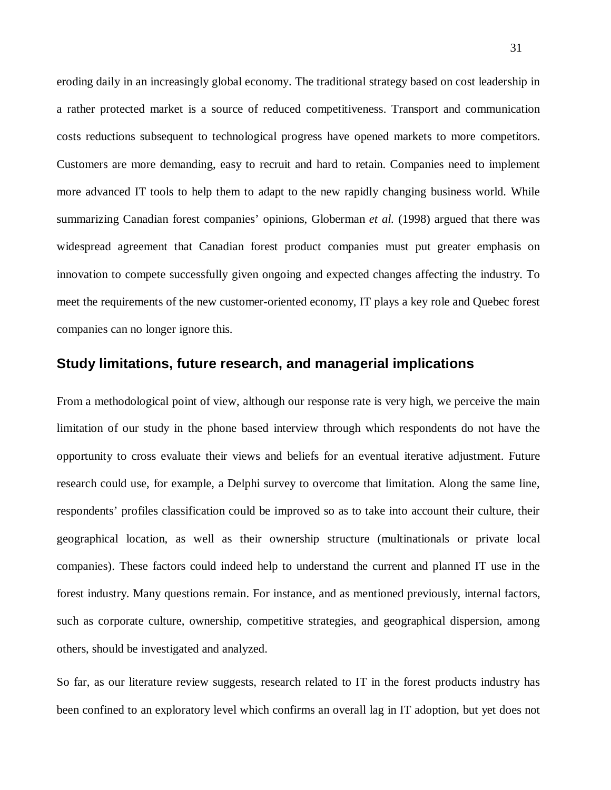eroding daily in an increasingly global economy. The traditional strategy based on cost leadership in a rather protected market is a source of reduced competitiveness. Transport and communication costs reductions subsequent to technological progress have opened markets to more competitors. Customers are more demanding, easy to recruit and hard to retain. Companies need to implement more advanced IT tools to help them to adapt to the new rapidly changing business world. While summarizing Canadian forest companies' opinions, Globerman *et al.* (1998) argued that there was widespread agreement that Canadian forest product companies must put greater emphasis on innovation to compete successfully given ongoing and expected changes affecting the industry. To meet the requirements of the new customer-oriented economy, IT plays a key role and Quebec forest companies can no longer ignore this.

#### **Study limitations, future research, and managerial implications**

From a methodological point of view, although our response rate is very high, we perceive the main limitation of our study in the phone based interview through which respondents do not have the opportunity to cross evaluate their views and beliefs for an eventual iterative adjustment. Future research could use, for example, a Delphi survey to overcome that limitation. Along the same line, respondents' profiles classification could be improved so as to take into account their culture, their geographical location, as well as their ownership structure (multinationals or private local companies). These factors could indeed help to understand the current and planned IT use in the forest industry. Many questions remain. For instance, and as mentioned previously, internal factors, such as corporate culture, ownership, competitive strategies, and geographical dispersion, among others, should be investigated and analyzed.

So far, as our literature review suggests, research related to IT in the forest products industry has been confined to an exploratory level which confirms an overall lag in IT adoption, but yet does not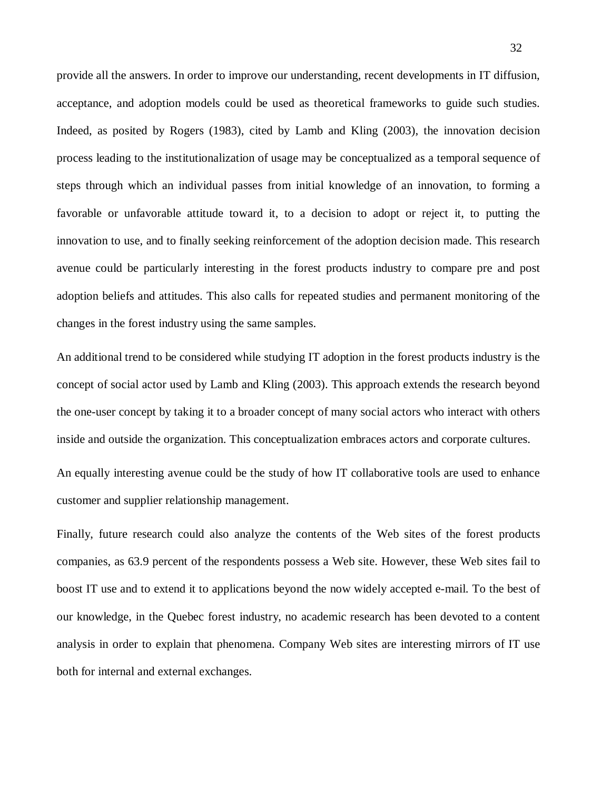provide all the answers. In order to improve our understanding, recent developments in IT diffusion, acceptance, and adoption models could be used as theoretical frameworks to guide such studies. Indeed, as posited by Rogers (1983), cited by Lamb and Kling (2003), the innovation decision process leading to the institutionalization of usage may be conceptualized as a temporal sequence of steps through which an individual passes from initial knowledge of an innovation, to forming a favorable or unfavorable attitude toward it, to a decision to adopt or reject it, to putting the innovation to use, and to finally seeking reinforcement of the adoption decision made. This research avenue could be particularly interesting in the forest products industry to compare pre and post adoption beliefs and attitudes. This also calls for repeated studies and permanent monitoring of the changes in the forest industry using the same samples.

An additional trend to be considered while studying IT adoption in the forest products industry is the concept of social actor used by Lamb and Kling (2003). This approach extends the research beyond the one-user concept by taking it to a broader concept of many social actors who interact with others inside and outside the organization. This conceptualization embraces actors and corporate cultures.

An equally interesting avenue could be the study of how IT collaborative tools are used to enhance customer and supplier relationship management.

Finally, future research could also analyze the contents of the Web sites of the forest products companies, as 63.9 percent of the respondents possess a Web site. However, these Web sites fail to boost IT use and to extend it to applications beyond the now widely accepted e-mail. To the best of our knowledge, in the Quebec forest industry, no academic research has been devoted to a content analysis in order to explain that phenomena. Company Web sites are interesting mirrors of IT use both for internal and external exchanges.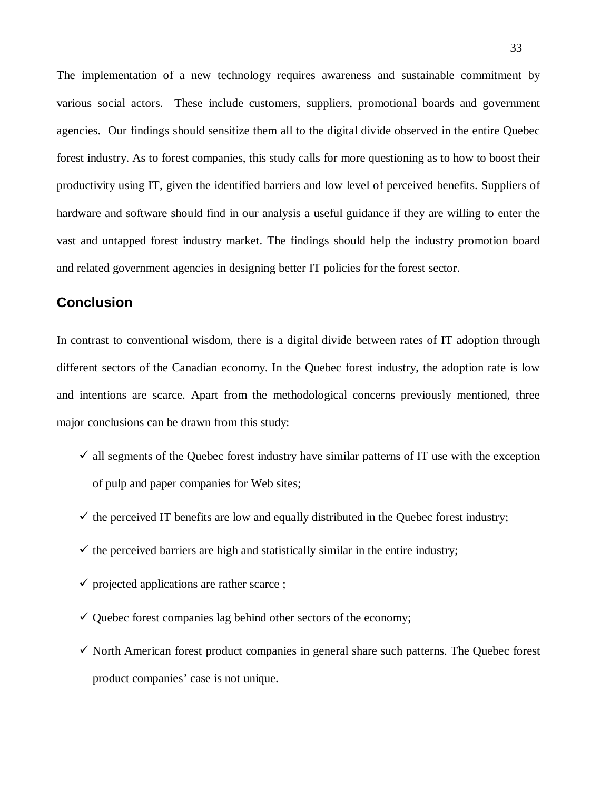The implementation of a new technology requires awareness and sustainable commitment by various social actors. These include customers, suppliers, promotional boards and government agencies. Our findings should sensitize them all to the digital divide observed in the entire Quebec forest industry. As to forest companies, this study calls for more questioning as to how to boost their productivity using IT, given the identified barriers and low level of perceived benefits. Suppliers of hardware and software should find in our analysis a useful guidance if they are willing to enter the vast and untapped forest industry market. The findings should help the industry promotion board and related government agencies in designing better IT policies for the forest sector.

# **Conclusion**

In contrast to conventional wisdom, there is a digital divide between rates of IT adoption through different sectors of the Canadian economy. In the Quebec forest industry, the adoption rate is low and intentions are scarce. Apart from the methodological concerns previously mentioned, three major conclusions can be drawn from this study:

- $\checkmark$  all segments of the Quebec forest industry have similar patterns of IT use with the exception of pulp and paper companies for Web sites;
- $\checkmark$  the perceived IT benefits are low and equally distributed in the Quebec forest industry;
- $\checkmark$  the perceived barriers are high and statistically similar in the entire industry;
- $\checkmark$  projected applications are rather scarce ;
- $\checkmark$  Quebec forest companies lag behind other sectors of the economy;
- $\checkmark$  North American forest product companies in general share such patterns. The Quebec forest product companies' case is not unique.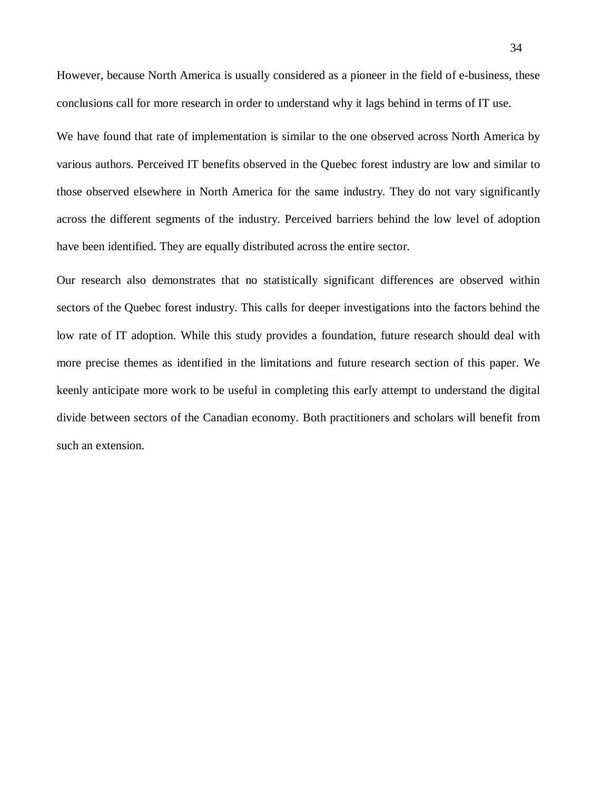However, because North America is usually considered as a pioneer in the field of e-business, these conclusions call for more research in order to understand why it lags behind in terms of IT use.

We have found that rate of implementation is similar to the one observed across North America by various authors. Perceived IT benefits observed in the Quebec forest industry are low and similar to those observed elsewhere in North America for the same industry. They do not vary significantly across the different segments of the industry. Perceived barriers behind the low level of adoption have been identified. They are equally distributed across the entire sector.

Our research also demonstrates that no statistically significant differences are observed within sectors of the Quebec forest industry. This calls for deeper investigations into the factors behind the low rate of IT adoption. While this study provides a foundation, future research should deal with more precise themes as identified in the limitations and future research section of this paper. We keenly anticipate more work to be useful in completing this early attempt to understand the digital divide between sectors of the Canadian economy. Both practitioners and scholars will benefit from such an extension.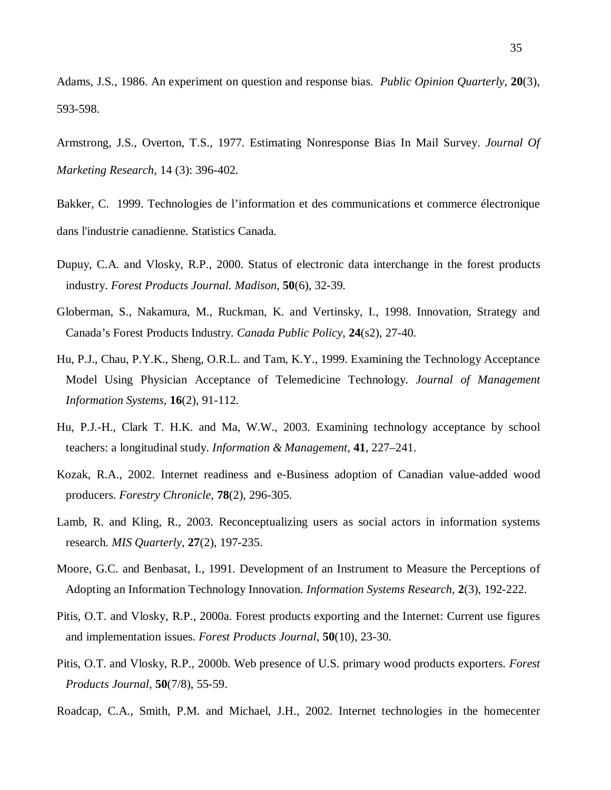Adams, J.S., 1986. An experiment on question and response bias. *Public Opinion Quarterly,* **20**(3), 593-598.

Armstrong, J.S., Overton, T.S., 1977. Estimating Nonresponse Bias In Mail Survey. *Journal Of Marketing Research*, 14 (3): 396-402.

Bakker, C. 1999. Technologies de l'information et des communications et commerce électronique dans l'industrie canadienne*.* Statistics Canada*.* 

- Dupuy, C.A. and Vlosky, R.P., 2000. Status of electronic data interchange in the forest products industry. *Forest Products Journal. Madison,* **50**(6), 32-39.
- Globerman, S., Nakamura, M., Ruckman, K. and Vertinsky, I., 1998. Innovation, Strategy and Canada's Forest Products Industry. *Canada Public Policy,* **24**(s2), 27-40.
- Hu, P.J., Chau, P.Y.K., Sheng, O.R.L. and Tam, K.Y., 1999. Examining the Technology Acceptance Model Using Physician Acceptance of Telemedicine Technology. *Journal of Management Information Systems,* **16**(2), 91-112.
- Hu, P.J.-H., Clark T. H.K. and Ma, W.W., 2003. Examining technology acceptance by school teachers: a longitudinal study. *Information & Management,* **41**, 227–241.
- Kozak, R.A., 2002. Internet readiness and e-Business adoption of Canadian value-added wood producers. *Forestry Chronicle,* **78**(2), 296-305.
- Lamb, R. and Kling, R., 2003. Reconceptualizing users as social actors in information systems research. *MIS Quarterly,* **27**(2), 197-235.
- Moore, G.C. and Benbasat, I., 1991. Development of an Instrument to Measure the Perceptions of Adopting an Information Technology Innovation. *Information Systems Research,* **2**(3), 192-222.
- Pitis, O.T. and Vlosky, R.P., 2000a. Forest products exporting and the Internet: Current use figures and implementation issues. *Forest Products Journal,* **50**(10), 23-30.
- Pitis, O.T. and Vlosky, R.P., 2000b. Web presence of U.S. primary wood products exporters. *Forest Products Journal,* **50**(7/8), 55-59.
- Roadcap, C.A., Smith, P.M. and Michael, J.H., 2002. Internet technologies in the homecenter